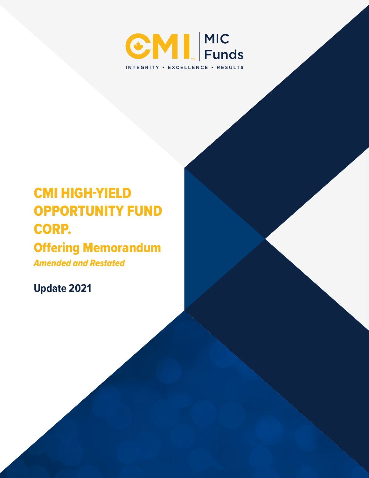

# CMI HIGH-YIELD OPPORTUNITY FUND CORP.

## Offering Memorandum

*Amended and Restated*

**Update 2021**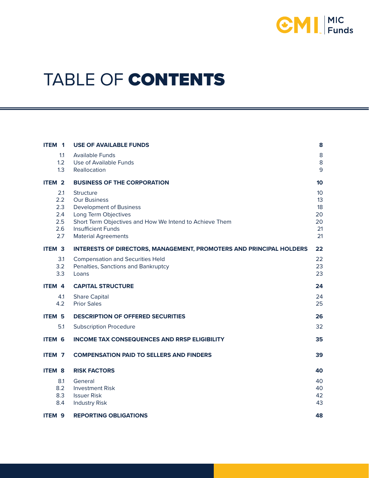

# TABLE OF CONTENTS

| ITEM 1                                        | <b>USE OF AVAILABLE FUNDS</b>                                                                                                                                                                                    | 8                                                   |
|-----------------------------------------------|------------------------------------------------------------------------------------------------------------------------------------------------------------------------------------------------------------------|-----------------------------------------------------|
| 1.1<br>1.2<br>1.3                             | <b>Available Funds</b><br>Use of Available Funds<br>Reallocation                                                                                                                                                 | $\bf 8$<br>8<br>9                                   |
| ITEM <sub>2</sub>                             | <b>BUSINESS OF THE CORPORATION</b>                                                                                                                                                                               | 10                                                  |
| 2.1<br>2.2<br>2.3<br>2.4<br>2.5<br>2.6<br>2.7 | Structure<br><b>Our Business</b><br><b>Development of Business</b><br>Long Term Objectives<br>Short Term Objectives and How We Intend to Achieve Them<br><b>Insufficient Funds</b><br><b>Material Agreements</b> | 10 <sup>1</sup><br>13<br>18<br>20<br>20<br>21<br>21 |
| <b>ITEM 3</b>                                 | <b>INTERESTS OF DIRECTORS, MANAGEMENT, PROMOTERS AND PRINCIPAL HOLDERS</b>                                                                                                                                       | 22                                                  |
| 3.1<br>3.2<br>3.3                             | <b>Compensation and Securities Held</b><br>Penalties, Sanctions and Bankruptcy<br>Loans                                                                                                                          | 22<br>23<br>23                                      |
| ITEM 4                                        | <b>CAPITAL STRUCTURE</b>                                                                                                                                                                                         | 24                                                  |
| 4.1<br>4.2                                    | <b>Share Capital</b><br><b>Prior Sales</b>                                                                                                                                                                       | 24<br>25                                            |
| <b>ITEM 5</b>                                 | <b>DESCRIPTION OF OFFERED SECURITIES</b>                                                                                                                                                                         | 26                                                  |
| 5.1                                           | <b>Subscription Procedure</b>                                                                                                                                                                                    | 32                                                  |
| <b>ITEM 6</b>                                 | <b>INCOME TAX CONSEQUENCES AND RRSP ELIGIBILITY</b>                                                                                                                                                              | 35                                                  |
| ITEM <sub>7</sub>                             | <b>COMPENSATION PAID TO SELLERS AND FINDERS</b>                                                                                                                                                                  | 39                                                  |
| <b>ITEM 8</b>                                 | <b>RISK FACTORS</b>                                                                                                                                                                                              | 40                                                  |
| 8.1<br>8.2<br>8.3<br>8.4                      | General<br><b>Investment Risk</b><br><b>Issuer Risk</b><br><b>Industry Risk</b>                                                                                                                                  | 40<br>40<br>42<br>43                                |
| ITEM <sub>9</sub>                             | <b>REPORTING OBLIGATIONS</b>                                                                                                                                                                                     | 48                                                  |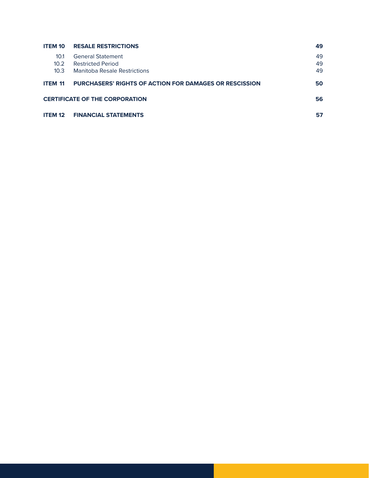| <b>ITEM 10</b>    | <b>RESALE RESTRICTIONS</b>                                    | 49 |
|-------------------|---------------------------------------------------------------|----|
| 10.1              | <b>General Statement</b>                                      | 49 |
| 10.2 <sup>2</sup> | <b>Restricted Period</b>                                      | 49 |
| 10.3 <sup>2</sup> | Manitoba Resale Restrictions                                  | 49 |
| <b>ITEM 11</b>    | <b>PURCHASERS' RIGHTS OF ACTION FOR DAMAGES OR RESCISSION</b> | 50 |
|                   | <b>CERTIFICATE OF THE CORPORATION</b>                         | 56 |
| <b>ITEM 12</b>    | <b>FINANCIAL STATEMENTS</b>                                   | 57 |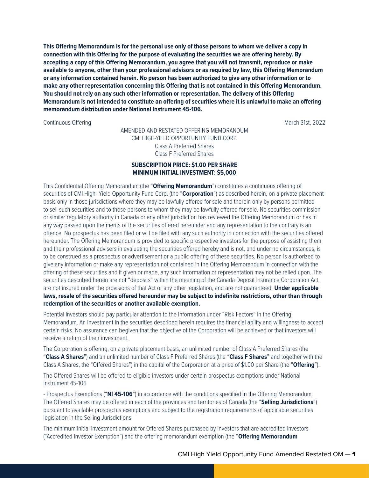**This Offering Memorandum is for the personal use only of those persons to whom we deliver a copy in connection with this Offering for the purpose of evaluating the securities we are offering hereby. By accepting a copy of this Offering Memorandum, you agree that you will not transmit, reproduce or make available to anyone, other than your professional advisors or as required by law, this Offering Memorandum or any information contained herein. No person has been authorized to give any other information or to make any other representation concerning this Offering that is not contained in this Offering Memorandum. You should not rely on any such other information or representation. The delivery of this Offering Memorandum is not intended to constitute an offering of securities where it is unlawful to make an offering memorandum distribution under National Instrument 45-106.**

Continuous Offering March 31st, 2022

#### AMENDED AND RESTATED OFFERING MEMORANDUM CMI HIGH-YIELD OPPORTUNITY FUND CORP. Class A Preferred Shares Class F Preferred Shares

#### **SUBSCRIPTION PRICE: \$1.00 PER SHARE MINIMUM INITIAL INVESTMENT: \$5,000**

This Confidential Offering Memorandum (the "**Offering Memorandum**") constitutes a continuous offering of securities of CMI High- Yield Opportunity Fund Corp. (the "**Corporation**") as described herein, on a private placement basis only in those jurisdictions where they may be lawfully offered for sale and therein only by persons permitted to sell such securities and to those persons to whom they may be lawfully offered for sale. No securities commission or similar regulatory authority in Canada or any other jurisdiction has reviewed the Offering Memorandum or has in any way passed upon the merits of the securities offered hereunder and any representation to the contrary is an offence. No prospectus has been filed or will be filed with any such authority in connection with the securities offered hereunder. The Offering Memorandum is provided to specific prospective investors for the purpose of assisting them and their professional advisers in evaluating the securities offered hereby and is not, and under no circumstances, is to be construed as a prospectus or advertisement or a public offering of these securities. No person is authorized to give any information or make any representation not contained in the Offering Memorandum in connection with the offering of these securities and if given or made, any such information or representation may not be relied upon. The securities described herein are not "deposits" within the meaning of the Canada Deposit Insurance Corporation Act, are not insured under the provisions of that Act or any other legislation, and are not guaranteed. **Under applicable laws, resale of the securities offered hereunder may be subject to indefinite restrictions, other than through redemption of the securities or another available exemption.**

Potential investors should pay particular attention to the information under "Risk Factors" in the Offering Memorandum. An investment in the securities described herein requires the financial ability and willingness to accept certain risks. No assurance can begiven that the objective of the Corporation will be achieved or that investors will receive a return of their investment.

The Corporation is offering, on a private placement basis, an unlimited number of Class A Preferred Shares (the "**Class A Shares**") and an unlimited number of Class F Preferred Shares (the "**Class F Shares**" and together with the Class A Shares, the "Offered Shares") in the capital of the Corporation at a price of \$1.00 per Share (the "**Offering**").

The Offered Shares will be offered to eligible investors under certain prospectus exemptions under National Instrument 45-106

- Prospectus Exemptions ("**NI 45-106**") in accordance with the conditions specified in the Offering Memorandum. The Offered Shares may be offered in each of the provinces and territories of Canada (the "**Selling Jurisdictions**") pursuant to available prospectus exemptions and subject to the registration requirements of applicable securities legislation in the Selling Jurisdictions.

The minimum initial investment amount for Offered Shares purchased by investors that are accredited investors ("Accredited Investor Exemption") and the offering memorandum exemption (the "**Offering Memorandum**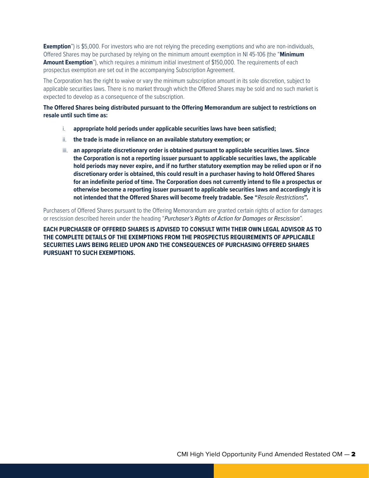**Exemption**") is \$5,000. For investors who are not relying the preceding exemptions and who are non-individuals, Offered Shares may be purchased by relying on the minimum amount exemption in NI 45-106 (the "**Minimum Amount Exemption**"), which requires a minimum initial investment of \$150,000. The requirements of each prospectus exemption are set out in the accompanying Subscription Agreement.

The Corporation has the right to waive or vary the minimum subscription amount in its sole discretion, subject to applicable securities laws. There is no market through which the Offered Shares may be sold and no such market is expected to develop as a consequence of the subscription.

**The Offered Shares being distributed pursuant to the Offering Memorandum are subject to restrictions on resale until such time as:**

- i. **appropriate hold periods under applicable securities laws have been satisfied;**
- ii. **the trade is made in reliance on an available statutory exemption; or**
- iii. **an appropriate discretionary order is obtained pursuant to applicable securities laws. Since the Corporation is not a reporting issuer pursuant to applicable securities laws, the applicable hold periods may never expire, and if no further statutory exemption may be relied upon or if no discretionary order is obtained, this could result in a purchaser having to hold Offered Shares for an indefinite period of time. The Corporation does not currently intend to file a prospectus or otherwise become a reporting issuer pursuant to applicable securities laws and accordingly it is not intended that the Offered Shares will become freely tradable. See "***Resale Restrictions***".**

Purchasers of Offered Shares pursuant to the Offering Memorandum are granted certain rights of action for damages or rescission described herein under the heading "*Purchaser's Rights of Action for Damages or Rescission*".

**EACH PURCHASER OF OFFERED SHARES IS ADVISED TO CONSULT WITH THEIR OWN LEGAL ADVISOR AS TO THE COMPLETE DETAILS OF THE EXEMPTIONS FROM THE PROSPECTUS REQUIREMENTS OF APPLICABLE SECURITIES LAWS BEING RELIED UPON AND THE CONSEQUENCES OF PURCHASING OFFERED SHARES PURSUANT TO SUCH EXEMPTIONS.**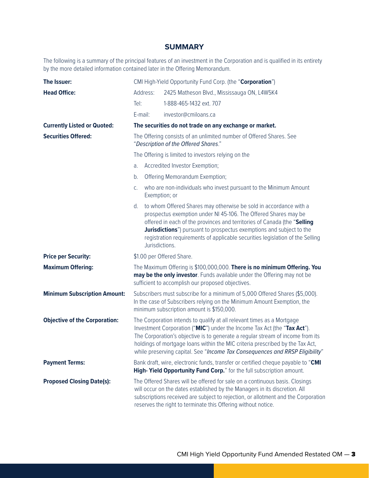### **SUMMARY**

The following is a summary of the principal features of an investment in the Corporation and is qualified in its entirety by the more detailed information contained later in the Offering Memorandum.

| The Issuer:                          |          | CMI High-Yield Opportunity Fund Corp. (the "Corporation")                                                                                                                                                                                                                                                                                                                                             |
|--------------------------------------|----------|-------------------------------------------------------------------------------------------------------------------------------------------------------------------------------------------------------------------------------------------------------------------------------------------------------------------------------------------------------------------------------------------------------|
| <b>Head Office:</b>                  | Address: | 2425 Matheson Blvd., Mississauga ON, L4W5K4                                                                                                                                                                                                                                                                                                                                                           |
|                                      | $Te$ :   | 1-888-465-1432 ext. 707                                                                                                                                                                                                                                                                                                                                                                               |
|                                      | E-mail:  | investor@cmiloans.ca                                                                                                                                                                                                                                                                                                                                                                                  |
| <b>Currently Listed or Quoted:</b>   |          | The securities do not trade on any exchange or market.                                                                                                                                                                                                                                                                                                                                                |
| <b>Securities Offered:</b>           |          | The Offering consists of an unlimited number of Offered Shares. See<br>"Description of the Offered Shares."                                                                                                                                                                                                                                                                                           |
|                                      |          | The Offering is limited to investors relying on the                                                                                                                                                                                                                                                                                                                                                   |
|                                      | a.       | Accredited Investor Exemption;                                                                                                                                                                                                                                                                                                                                                                        |
|                                      | b.       | Offering Memorandum Exemption;                                                                                                                                                                                                                                                                                                                                                                        |
|                                      | C.       | who are non-individuals who invest pursuant to the Minimum Amount<br>Exemption; or                                                                                                                                                                                                                                                                                                                    |
|                                      | d.       | to whom Offered Shares may otherwise be sold in accordance with a<br>prospectus exemption under NI 45-106. The Offered Shares may be<br>offered in each of the provinces and territories of Canada (the "Selling<br><b>Jurisdictions</b> ") pursuant to prospectus exemptions and subject to the<br>registration requirements of applicable securities legislation of the Selling<br>Jurisdictions.   |
| <b>Price per Security:</b>           |          | \$1.00 per Offered Share.                                                                                                                                                                                                                                                                                                                                                                             |
| <b>Maximum Offering:</b>             |          | The Maximum Offering is \$100,000,000. There is no minimum Offering. You<br>may be the only investor. Funds available under the Offering may not be<br>sufficient to accomplish our proposed objectives.                                                                                                                                                                                              |
| <b>Minimum Subscription Amount:</b>  |          | Subscribers must subscribe for a minimum of 5,000 Offered Shares (\$5,000).<br>In the case of Subscribers relying on the Minimum Amount Exemption, the<br>minimum subscription amount is \$150,000.                                                                                                                                                                                                   |
| <b>Objective of the Corporation:</b> |          | The Corporation intends to qualify at all relevant times as a Mortgage<br>Investment Corporation ("MIC") under the Income Tax Act (the "Tax Act").<br>The Corporation's objective is to generate a regular stream of income from its<br>holdings of mortgage loans within the MIC criteria prescribed by the Tax Act,<br>while preserving capital. See "Income Tax Consequences and RRSP Eligibility" |
| <b>Payment Terms:</b>                |          | Bank draft, wire, electronic funds, transfer or certified cheque payable to "CMI<br>High- Yield Opportunity Fund Corp." for the full subscription amount.                                                                                                                                                                                                                                             |
| <b>Proposed Closing Date(s):</b>     |          | The Offered Shares will be offered for sale on a continuous basis. Closings<br>will occur on the dates established by the Managers in its discretion. All<br>subscriptions received are subject to rejection, or allotment and the Corporation<br>reserves the right to terminate this Offering without notice.                                                                                       |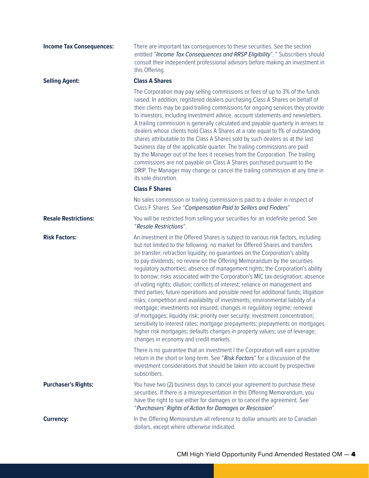| <b>Income Tax Consequences:</b> | There are important tax consequences to these securities. See the section<br>entitled "Income Tax Consequences and RRSP Eligibility". " Subscribers should<br>consult their independent professional advisors before making an investment in<br>this Offering.                                                                                                                                                                                                                                                                                                                                                                                                                                                                                                                                                                                                                                                                                                                                                                                                                                                                             |
|---------------------------------|--------------------------------------------------------------------------------------------------------------------------------------------------------------------------------------------------------------------------------------------------------------------------------------------------------------------------------------------------------------------------------------------------------------------------------------------------------------------------------------------------------------------------------------------------------------------------------------------------------------------------------------------------------------------------------------------------------------------------------------------------------------------------------------------------------------------------------------------------------------------------------------------------------------------------------------------------------------------------------------------------------------------------------------------------------------------------------------------------------------------------------------------|
| <b>Selling Agent:</b>           | <b>Class A Shares</b>                                                                                                                                                                                                                                                                                                                                                                                                                                                                                                                                                                                                                                                                                                                                                                                                                                                                                                                                                                                                                                                                                                                      |
|                                 | The Corporation may pay selling commissions or fees of up to 3% of the funds<br>raised. In addition, registered dealers purchasing Class A Shares on behalf of<br>their clients may be paid trailing commissions for ongoing services they provide<br>to investors, including investment advice, account statements and newsletters.<br>A trailing commission is generally calculated and payable quarterly in arrears to<br>dealers whose clients hold Class A Shares at a rate equal to 1% of outstanding<br>shares attributable to the Class A Shares sold by such dealers as at the last<br>business day of the applicable quarter. The trailing commissions are paid<br>by the Manager out of the fees it receives from the Corporation. The trailing<br>commissions are not payable on Class A Shares purchased pursuant to the<br>DRIP. The Manager may change or cancel the trailing commission at any time in<br>its sole discretion.                                                                                                                                                                                             |
|                                 | <b>Class F Shares</b>                                                                                                                                                                                                                                                                                                                                                                                                                                                                                                                                                                                                                                                                                                                                                                                                                                                                                                                                                                                                                                                                                                                      |
|                                 | No sales commission or trailing commission is paid to a dealer in respect of<br>Class F Shares. See "Compensation Paid to Sellers and Finders"                                                                                                                                                                                                                                                                                                                                                                                                                                                                                                                                                                                                                                                                                                                                                                                                                                                                                                                                                                                             |
| <b>Resale Restrictions:</b>     | You will be restricted from selling your securities for an indefinite period. See<br>"Resale Restrictions".                                                                                                                                                                                                                                                                                                                                                                                                                                                                                                                                                                                                                                                                                                                                                                                                                                                                                                                                                                                                                                |
| <b>Risk Factors:</b>            | An investment in the Offered Shares is subject to various risk factors, including<br>but not limited to the following: no market for Offered Shares and transfers<br>on transfer; retraction liquidity; no guarantees on the Corporation's ability<br>to pay dividends; no review on the Offering Memorandum by the securities<br>regulatory authorities; absence of management rights; the Corporation's ability<br>to borrow; risks associated with the Corporation's MIC tax designation; absence<br>of voting rights; dilution; conflicts of interest; reliance on management and<br>third parties; future operations and possible need for additional funds; litigation<br>risks; competition and availability of investments; environmental liability of a<br>mortgage; investments not insured; changes in regulatory regime; renewal<br>of mortgages; liquidity risk; priority over security; investment concentration;<br>sensitivity to interest rates; mortgage prepayments; prepayments on mortgages<br>higher risk mortgages; defaults changes in property values; use of leverage;<br>changes in economy and credit markets. |
|                                 | There is no guarantee that an investment I the Corporation will earn a positive<br>return in the short or long-term. See "Risk Factors" for a discussion of the<br>investment considerations that should be taken into account by prospective<br>subscribers.                                                                                                                                                                                                                                                                                                                                                                                                                                                                                                                                                                                                                                                                                                                                                                                                                                                                              |
| <b>Purchaser's Rights:</b>      | You have two (2) business days to cancel your agreement to purchase these<br>securities. If there is a misrepresentation in this Offering Memorandum, you<br>have the right to sue either for damages or to cancel the agreement. See<br>"Purchasers' Rights of Action for Damages or Rescission".                                                                                                                                                                                                                                                                                                                                                                                                                                                                                                                                                                                                                                                                                                                                                                                                                                         |
| <b>Currency:</b>                | In the Offering Memorandum all reference to dollar amounts are to Canadian<br>dollars, except where otherwise indicated.                                                                                                                                                                                                                                                                                                                                                                                                                                                                                                                                                                                                                                                                                                                                                                                                                                                                                                                                                                                                                   |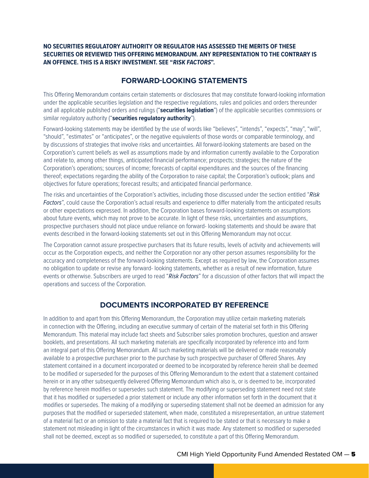#### **NO SECURITIES REGULATORY AUTHORITY OR REGULATOR HAS ASSESSED THE MERITS OF THESE SECURITIES OR REVIEWED THIS OFFERING MEMORANDUM. ANY REPRESENTATION TO THE CONTRARY IS AN OFFENCE. THIS IS A RISKY INVESTMENT. SEE "RISK FACTORS".**

## **FORWARD-LOOKING STATEMENTS**

This Offering Memorandum contains certain statements or disclosures that may constitute forward-looking information under the applicable securities legislation and the respective regulations, rules and policies and orders thereunder and all applicable published orders and rulings ("**securities legislation**") of the applicable securities commissions or similar regulatory authority ("**securities regulatory authority**").

Forward-looking statements may be identified by the use of words like "believes", "intends", "expects", "may", "will", "should", "estimates" or "anticipates", or the negative equivalents of those words or comparable terminology, and by discussions of strategies that involve risks and uncertainties. All forward-looking statements are based on the Corporation's current beliefs as well as assumptions made by and information currently available to the Corporation and relate to, among other things, anticipated financial performance; prospects; strategies; the nature of the Corporation's operations; sources of income; forecasts of capital expenditures and the sources of the financing thereof; expectations regarding the ability of the Corporation to raise capital; the Corporation's outlook; plans and objectives for future operations; forecast results; and anticipated financial performance.

The risks and uncertainties of the Corporation's activities, including those discussed under the section entitled "*Risk Factors*", could cause the Corporation's actual results and experience to differ materially from the anticipated results or other expectations expressed. In addition, the Corporation bases forward-looking statements on assumptions about future events, which may not prove to be accurate. In light of these risks, uncertainties and assumptions, prospective purchasers should not place undue reliance on forward- looking statements and should be aware that events described in the forward-looking statements set out in this Offering Memorandum may not occur.

The Corporation cannot assure prospective purchasers that its future results, levels of activity and achievements will occur as the Corporation expects, and neither the Corporation nor any other person assumes responsibility for the accuracy and completeness of the forward-looking statements. Except as required by law, the Corporation assumes no obligation to update or revise any forward- looking statements, whether as a result of new information, future events or otherwise. Subscribers are urged to read "*Risk Factors*" for a discussion of other factors that will impact the operations and success of the Corporation.

## **DOCUMENTS INCORPORATED BY REFERENCE**

In addition to and apart from this Offering Memorandum, the Corporation may utilize certain marketing materials in connection with the Offering, including an executive summary of certain of the material set forth in this Offering Memorandum. This material may include fact sheets and Subscriber sales promotion brochures, question and answer booklets, and presentations. All such marketing materials are specifically incorporated by reference into and form an integral part of this Offering Memorandum. All such marketing materials will be delivered or made reasonably available to a prospective purchaser prior to the purchase by such prospective purchaser of Offered Shares. Any statement contained in a document incorporated or deemed to be incorporated by reference herein shall be deemed to be modified or superseded for the purposes of this Offering Memorandum to the extent that a statement contained herein or in any other subsequently delivered Offering Memorandum which also is, or is deemed to be, incorporated by reference herein modifies or supersedes such statement. The modifying or superseding statement need not state that it has modified or superseded a prior statement or include any other information set forth in the document that it modifies or supersedes. The making of a modifying or superseding statement shall not be deemed an admission for any purposes that the modified or superseded statement, when made, constituted a misrepresentation, an untrue statement of a material fact or an omission to state a material fact that is required to be stated or that is necessary to make a statement not misleading in light of the circumstances in which it was made. Any statement so modified or superseded shall not be deemed, except as so modified or superseded, to constitute a part of this Offering Memorandum.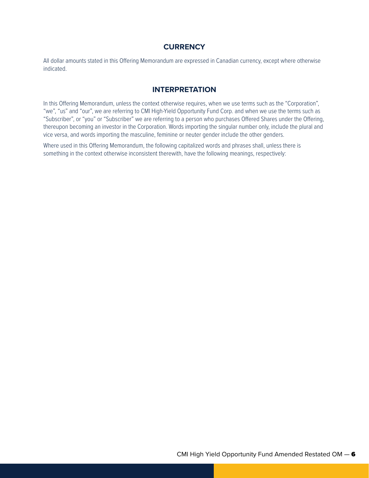### **CURRENCY**

All dollar amounts stated in this Offering Memorandum are expressed in Canadian currency, except where otherwise indicated.

### **INTERPRETATION**

In this Offering Memorandum, unless the context otherwise requires, when we use terms such as the "Corporation", "we", "us" and "our", we are referring to CMI High-Yield Opportunity Fund Corp. and when we use the terms such as "Subscriber", or "you" or "Subscriber" we are referring to a person who purchases Offered Shares under the Offering, thereupon becoming an investor in the Corporation. Words importing the singular number only, include the plural and vice versa, and words importing the masculine, feminine or neuter gender include the other genders.

Where used in this Offering Memorandum, the following capitalized words and phrases shall, unless there is something in the context otherwise inconsistent therewith, have the following meanings, respectively: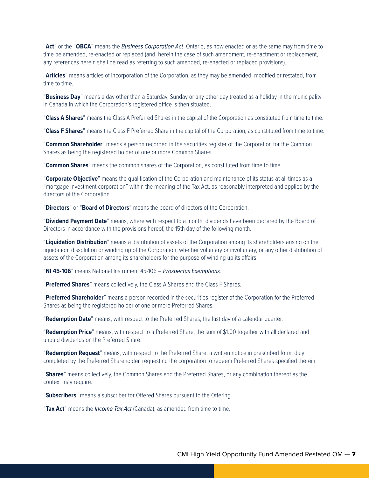"**Act**" or the "**OBCA**" means the *Business Corporation Act*, Ontario, as now enacted or as the same may from time to time be amended, re-enacted or replaced (and, herein the case of such amendment, re-enactment or replacement, any references herein shall be read as referring to such amended, re-enacted or replaced provisions).

"**Articles**" means articles of incorporation of the Corporation, as they may be amended, modified or restated, from time to time.

"**Business Day**" means a day other than a Saturday, Sunday or any other day treated as a holiday in the municipality in Canada in which the Corporation's registered office is then situated.

"**Class A Shares**" means the Class A Preferred Shares in the capital of the Corporation as constituted from time to time.

"**Class F Shares**" means the Class F Preferred Share in the capital of the Corporation, as constituted from time to time.

"**Common Shareholder**" means a person recorded in the securities register of the Corporation for the Common Shares as being the registered holder of one or more Common Shares.

"**Common Shares**" means the common shares of the Corporation, as constituted from time to time.

"**Corporate Objective**" means the qualification of the Corporation and maintenance of its status at all times as a "mortgage investment corporation" within the meaning of the Tax Act, as reasonably interpreted and applied by the directors of the Corporation.

"**Directors**" or "**Board of Directors**" means the board of directors of the Corporation.

"**Dividend Payment Date**" means, where with respect to a month, dividends have been declared by the Board of Directors in accordance with the provisions hereof, the 15th day of the following month.

"**Liquidation Distribution**" means a distribution of assets of the Corporation among its shareholders arising on the liquidation, dissolution or winding up of the Corporation, whether voluntary or involuntary, or any other distribution of assets of the Corporation among its shareholders for the purpose of winding up its affairs.

"**NI 45-106**" means National Instrument 45-106 – *Prospectus Exemptions*.

"**Preferred Shares**" means collectively, the Class A Shares and the Class F Shares.

"**Preferred Shareholder**" means a person recorded in the securities register of the Corporation for the Preferred Shares as being the registered holder of one or more Preferred Shares.

"**Redemption Date**" means, with respect to the Preferred Shares, the last day of a calendar quarter.

"**Redemption Price**" means, with respect to a Preferred Share, the sum of \$1.00 together with all declared and unpaid dividends on the Preferred Share.

"**Redemption Request**" means, with respect to the Preferred Share, a written notice in prescribed form, duly completed by the Preferred Shareholder, requesting the corporation to redeem Preferred Shares specified therein.

"**Shares**" means collectively, the Common Shares and the Preferred Shares, or any combination thereof as the context may require.

"**Subscribers**" means a subscriber for Offered Shares pursuant to the Offering.

"**Tax Act**" means the *Income Tax Act* (Canada), as amended from time to time.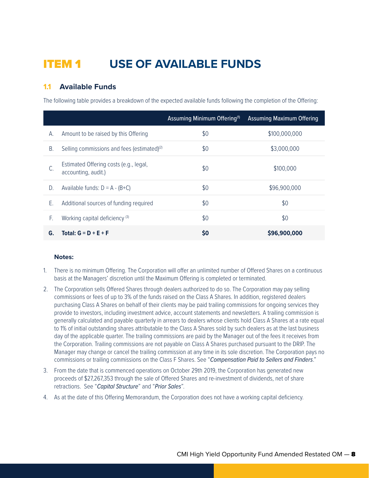## ITEM 1 **USE OF AVAILABLE FUNDS**

## **1.1 Available Funds**

The following table provides a breakdown of the expected available funds following the completion of the Offering:

|    |                                                               | Assuming Minimum Offering <sup>(1)</sup> | <b>Assuming Maximum Offering</b> |
|----|---------------------------------------------------------------|------------------------------------------|----------------------------------|
| А. | Amount to be raised by this Offering                          | \$0                                      | \$100,000,000                    |
| Β. | Selling commissions and fees (estimated) <sup>(2)</sup>       | \$0                                      | \$3,000,000                      |
| C. | Estimated Offering costs (e.g., legal,<br>accounting, audit.) | \$0                                      | \$100,000                        |
| D. | Available funds: $D = A - (B+C)$                              | \$0                                      | \$96,900,000                     |
| Е. | Additional sources of funding required                        | \$0                                      | \$0                              |
| F. | Working capital deficiency <sup>(3)</sup>                     | \$0                                      | \$0                              |
| G. | Total: $G = D + E + F$                                        | \$0                                      | \$96,900,000                     |

#### **Notes:**

- 1. There is no minimum Offering. The Corporation will offer an unlimited number of Offered Shares on a continuous basis at the Managers' discretion until the Maximum Offering is completed or terminated.
- 2. The Corporation sells Offered Shares through dealers authorized to do so. The Corporation may pay selling commissions or fees of up to 3% of the funds raised on the Class A Shares. In addition, registered dealers purchasing Class A Shares on behalf of their clients may be paid trailing commissions for ongoing services they provide to investors, including investment advice, account statements and newsletters. A trailing commission is generally calculated and payable quarterly in arrears to dealers whose clients hold Class A Shares at a rate equal to 1% of initial outstanding shares attributable to the Class A Shares sold by such dealers as at the last business day of the applicable quarter. The trailing commissions are paid by the Manager out of the fees it receives from the Corporation. Trailing commissions are not payable on Class A Shares purchased pursuant to the DRIP. The Manager may change or cancel the trailing commission at any time in its sole discretion. The Corporation pays no commissions or trailing commissions on the Class F Shares. See "*Compensation Paid to Sellers and Finders*."
- 3. From the date that is commenced operations on October 29th 2019, the Corporation has generated new proceeds of \$27,267,353 through the sale of Offered Shares and re-investment of dividends, net of share retractions. See "*Capital Structure*" and "*Prior Sales*".
- 4. As at the date of this Offering Memorandum, the Corporation does not have a working capital deficiency.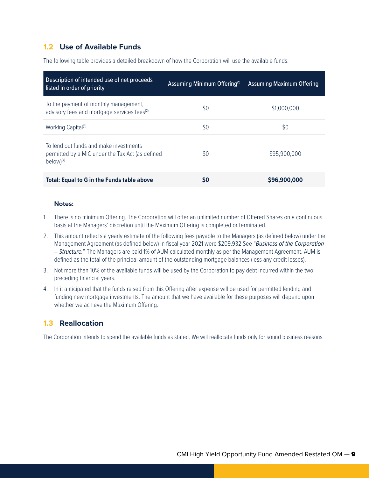## **1.2 Use of Available Funds**

The following table provides a detailed breakdown of how the Corporation will use the available funds:

| Description of intended use of net proceeds<br>listed in order of priority                                   | Assuming Minimum Offering <sup>(1)</sup> | Assuming Maximum Offering |
|--------------------------------------------------------------------------------------------------------------|------------------------------------------|---------------------------|
| To the payment of monthly management,<br>advisory fees and mortgage services fees <sup>(2)</sup>             | \$0                                      | \$1,000,000               |
| Working Capital <sup>(3)</sup>                                                                               | \$0                                      | \$0                       |
| To lend out funds and make investments<br>permitted by a MIC under the Tax Act (as defined<br>$below)^{(4)}$ | \$0                                      | \$95,900,000              |
| Total: Equal to G in the Funds table above                                                                   | S0                                       | \$96,900,000              |

#### **Notes:**

- 1. There is no minimum Offering. The Corporation will offer an unlimited number of Offered Shares on a continuous basis at the Managers' discretion until the Maximum Offering is completed or terminated.
- 2. This amount reflects a yearly estimate of the following fees payable to the Managers (as defined below) under the Management Agreement (as defined below) in fiscal year 2021 were \$209,932 See "*Business of the Corporation – Structure.*" The Managers are paid 1% of AUM calculated monthly as per the Management Agreement. AUM is defined as the total of the principal amount of the outstanding mortgage balances (less any credit losses).
- 3. Not more than 10% of the available funds will be used by the Corporation to pay debt incurred within the two preceding financial years.
- 4. In it anticipated that the funds raised from this Offering after expense will be used for permitted lending and funding new mortgage investments. The amount that we have available for these purposes will depend upon whether we achieve the Maximum Offering.

## **1.3 Reallocation**

The Corporation intends to spend the available funds as stated. We will reallocate funds only for sound business reasons.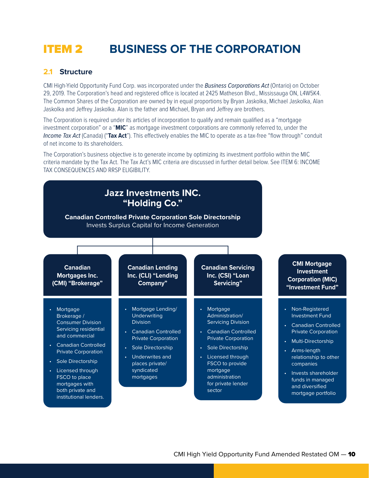## ITEM 2 **BUSINESS OF THE CORPORATION**

### **2.1 Structure**

CMI High-Yield Opportunity Fund Corp. was incorporated under the *Business Corporations Act* (Ontario) on October 29, 2019. The Corporation's head and registered office is located at 2425 Matheson Blvd., Mississauga ON, L4W5K4. The Common Shares of the Corporation are owned by in equal proportions by Bryan Jaskolka, Michael Jaskolka, Alan Jaskolka and Jeffrey Jaskolka. Alan is the father and Michael, Bryan and Jeffrey are brothers.

The Corporation is required under its articles of incorporation to qualify and remain qualified as a "mortgage investment corporation" or a "**MIC**" as mortgage investment corporations are commonly referred to, under the *Income Tax Act* (Canada) ("**Tax Act**"). This effectively enables the MIC to operate as a tax-free "flow through" conduit of net income to its shareholders.

The Corporation's business objective is to generate income by optimizing its investment portfolio within the MIC criteria mandate by the Tax Act. The Tax Act's MIC criteria are discussed in further detail below. See ITEM 6: INCOME TAX CONSEQUENCES AND RRSP ELIGIBILITY.

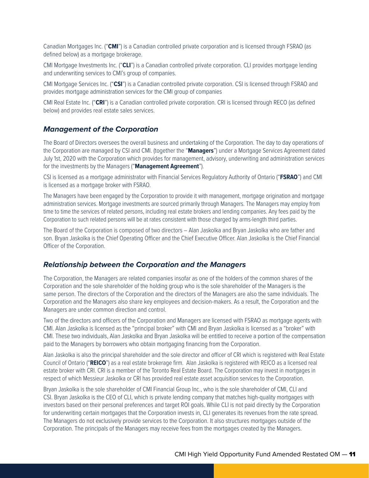Canadian Mortgages Inc. ("**CMI**") is a Canadian controlled private corporation and is licensed through FSRAO (as defined below) as a mortgage brokerage.

CMI Mortgage Investments Inc. ("**CLI**") is a Canadian controlled private corporation. CLI provides mortgage lending and underwriting services to CMI's group of companies.

CMI Mortgage Services Inc. ("**CSI**") is a Canadian controlled private corporation. CSI is licensed through FSRAO and provides mortgage administration services for the CMI group of companies

CMI Real Estate Inc. ("**CRI**") is a Canadian controlled private corporation. CRI is licensed through RECO (as defined below) and provides real estate sales services.

#### *Management of the Corporation*

The Board of Directors oversees the overall business and undertaking of the Corporation. The day to day operations of the Corporation are managed by CSI and CMI. (together the "**Managers**") under a Mortgage Services Agreement dated July 1st, 2020 with the Corporation which provides for management, advisory, underwriting and administration services for the investments by the Managers ("**Management Agreement**").

CSI is licensed as a mortgage administrator with Financial Services Regulatory Authority of Ontario ("**FSRAO**") and CMI is licensed as a mortgage broker with FSRAO.

The Managers have been engaged by the Corporation to provide it with management, mortgage origination and mortgage administration services. Mortgage investments are sourced primarily through Managers. The Managers may employ from time to time the services of related persons, including real estate brokers and lending companies. Any fees paid by the Corporation to such related persons will be at rates consistent with those charged by arms-length third parties.

The Board of the Corporation is composed of two directors – Alan Jaskolka and Bryan Jaskolka who are father and son. Bryan Jaskolka is the Chief Operating Officer and the Chief Executive Officer. Alan Jaskolka is the Chief Financial Officer of the Corporation.

#### *Relationship between the Corporation and the Managers*

The Corporation, the Managers are related companies insofar as one of the holders of the common shares of the Corporation and the sole shareholder of the holding group who is the sole shareholder of the Managers is the same person. The directors of the Corporation and the directors of the Managers are also the same individuals. The Corporation and the Managers also share key employees and decision-makers. As a result, the Corporation and the Managers are under common direction and control.

Two of the directors and officers of the Corporation and Managers are licensed with FSRAO as mortgage agents with CMI. Alan Jaskolka is licensed as the "principal broker" with CMI and Bryan Jaskolka is licensed as a "broker" with CMI. These two individuals, Alan Jaskolka and Bryan Jaskolka will be entitled to receive a portion of the compensation paid to the Managers by borrowers who obtain mortgaging financing from the Corporation.

Alan Jaskolka is also the principal shareholder and the sole director and officer of CRI which is registered with Real Estate Council of Ontario ("**REICO**") as a real estate brokerage firm. Alan Jaskolka is registered with REICO as a licensed real estate broker with CRI. CRI is a member of the Toronto Real Estate Board. The Corporation may invest in mortgages in respect of which Messieur Jaskolka or CRI has provided real estate asset acquisition services to the Corporation.

Bryan Jaskolka is the sole shareholder of CMI Financial Group Inc., who is the sole shareholder of CMI, CLI and CSI. Bryan Jaskolka is the CEO of CLI, which is private lending company that matches high-quality mortgages with investors based on their personal preferences and target ROI goals. While CLI is not paid directly by the Corporation for underwriting certain mortgages that the Corporation invests in, CLI generates its revenues from the rate spread. The Managers do not exclusively provide services to the Corporation. It also structures mortgages outside of the Corporation. The principals of the Managers may receive fees from the mortgages created by the Managers.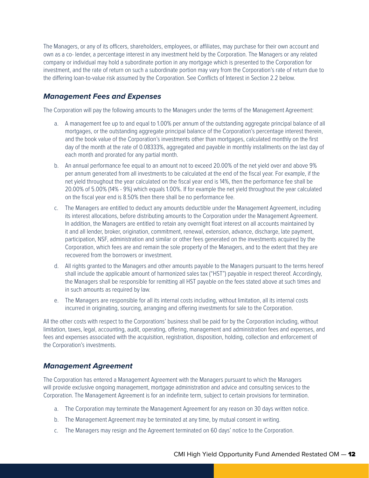The Managers, or any of its officers, shareholders, employees, or affiliates, may purchase for their own account and own as a co- lender, a percentage interest in any investment held by the Corporation. The Managers or any related company or individual may hold a subordinate portion in any mortgage which is presented to the Corporation for investment, and the rate of return on such a subordinate portion may vary from the Corporation's rate of return due to the differing loan-to-value risk assumed by the Corporation. See Conflicts of Interest in Section 2.2 below.

## *Management Fees and Expenses*

The Corporation will pay the following amounts to the Managers under the terms of the Management Agreement:

- a. A management fee up to and equal to 1.00% per annum of the outstanding aggregate principal balance of all mortgages, or the outstanding aggregate principal balance of the Corporation's percentage interest therein, and the book value of the Corporation's investments other than mortgages, calculated monthly on the first day of the month at the rate of 0.08333%, aggregated and payable in monthly installments on the last day of each month and prorated for any partial month.
- b. An annual performance fee equal to an amount not to exceed 20.00% of the net yield over and above 9% per annum generated from all investments to be calculated at the end of the fiscal year. For example, if the net yield throughout the year calculated on the fiscal year end is 14%, then the performance fee shall be 20.00% of 5.00% (14% - 9%) which equals 1.00%. If for example the net yield throughout the year calculated on the fiscal year end is 8.50% then there shall be no performance fee.
- c. The Managers are entitled to deduct any amounts deductible under the Management Agreement, including its interest allocations, before distributing amounts to the Corporation under the Management Agreement. In addition, the Managers are entitled to retain any overnight float interest on all accounts maintained by it and all lender, broker, origination, commitment, renewal, extension, advance, discharge, late payment, participation, NSF, administration and similar or other fees generated on the investments acquired by the Corporation, which fees are and remain the sole property of the Managers, and to the extent that they are recovered from the borrowers or investment.
- d. All rights granted to the Managers and other amounts payable to the Managers pursuant to the terms hereof shall include the applicable amount of harmonized sales tax ("HST") payable in respect thereof. Accordingly, the Managers shall be responsible for remitting all HST payable on the fees stated above at such times and in such amounts as required by law.
- e. The Managers are responsible for all its internal costs including, without limitation, all its internal costs incurred in originating, sourcing, arranging and offering investments for sale to the Corporation.

All the other costs with respect to the Corporations' business shall be paid for by the Corporation including, without limitation, taxes, legal, accounting, audit, operating, offering, management and administration fees and expenses, and fees and expenses associated with the acquisition, registration, disposition, holding, collection and enforcement of the Corporation's investments.

## *Management Agreement*

The Corporation has entered a Management Agreement with the Managers pursuant to which the Managers will provide exclusive ongoing management, mortgage administration and advice and consulting services to the Corporation. The Management Agreement is for an indefinite term, subject to certain provisions for termination.

- a. The Corporation may terminate the Management Agreement for any reason on 30 days written notice.
- b. The Management Agreement may be terminated at any time, by mutual consent in writing.
- c. The Managers may resign and the Agreement terminated on 60 days' notice to the Corporation.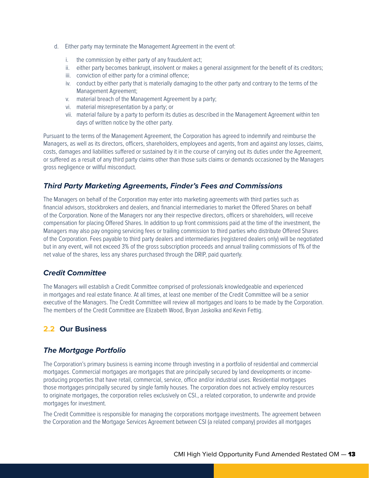- d. Either party may terminate the Management Agreement in the event of:
	- i. the commission by either party of any fraudulent act;
	- ii. either party becomes bankrupt, insolvent or makes a general assignment for the benefit of its creditors;
	- iii. conviction of either party for a criminal offence;
	- iv. conduct by either party that is materially damaging to the other party and contrary to the terms of the Management Agreement;
	- v. material breach of the Management Agreement by a party;
	- vi. material misrepresentation by a party; or
	- vii. material failure by a party to perform its duties as described in the Management Agreement within ten days of written notice by the other party.

Pursuant to the terms of the Management Agreement, the Corporation has agreed to indemnify and reimburse the Managers, as well as its directors, officers, shareholders, employees and agents, from and against any losses, claims, costs, damages and liabilities suffered or sustained by it in the course of carrying out its duties under the Agreement, or suffered as a result of any third party claims other than those suits claims or demands occasioned by the Managers gross negligence or willful misconduct.

## *Third Party Marketing Agreements, Finder's Fees and Commissions*

The Managers on behalf of the Corporation may enter into marketing agreements with third parties such as financial advisors, stockbrokers and dealers, and financial intermediaries to market the Offered Shares on behalf of the Corporation. None of the Managers nor any their respective directors, officers or shareholders, will receive compensation for placing Offered Shares. In addition to up front commissions paid at the time of the investment, the Managers may also pay ongoing servicing fees or trailing commission to third parties who distribute Offered Shares of the Corporation. Fees payable to third party dealers and intermediaries (registered dealers only) will be negotiated but in any event, will not exceed 3% of the gross subscription proceeds and annual trailing commissions of 1% of the net value of the shares, less any shares purchased through the DRIP, paid quarterly.

## *Credit Committee*

The Managers will establish a Credit Committee comprised of professionals knowledgeable and experienced in mortgages and real estate finance. At all times, at least one member of the Credit Committee will be a senior executive of the Managers. The Credit Committee will review all mortgages and loans to be made by the Corporation. The members of the Credit Committee are Elizabeth Wood, Bryan Jaskolka and Kevin Fettig.

## **2.2 Our Business**

## *The Mortgage Portfolio*

The Corporation's primary business is earning income through investing in a portfolio of residential and commercial mortgages. Commercial mortgages are mortgages that are principally secured by land developments or incomeproducing properties that have retail, commercial, service, office and/or industrial uses. Residential mortgages those mortgages principally secured by single family houses. The corporation does not actively employ resources to originate mortgages, the corporation relies exclusively on CSI., a related corporation, to underwrite and provide mortgages for investment.

The Credit Committee is responsible for managing the corporations mortgage investments. The agreement between the Corporation and the Mortgage Services Agreement between CSI (a related company) provides all mortgages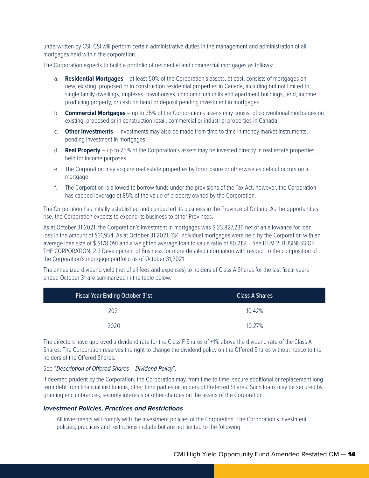underwritten by CSI. CSI will perform certain administrative duties in the management and administration of all mortgages held within the corporation.

The Corporation expects to build a portfolio of residential and commercial mortgages as follows:

- a. **Residential Mortgages** at least 50% of the Corporation's assets, at cost, consists of mortgages on new, existing, proposed or in construction residential properties in Canada, including but not limited to, single family dwellings, duplexes, townhouses, condominium units and apartment buildings, land, income producing property, or cash on hand or deposit pending investment in mortgages.
- b. **Commercial Mortgages** up to 35% of the Corporation's assets may consist of conventional mortgages on existing, proposed or in construction retail, commercial or industrial properties in Canada.
- c. **Other Investments** investments may also be made from time to time in money market instruments, pending investment in mortgages
- d. **Real Property** up to 25% of the Corporation's assets may be invested directly in real estate properties held for income purposes.
- e. The Corporation may acquire real estate properties by foreclosure or otherwise as default occurs on a mortgage.
- f. The Corporation is allowed to borrow funds under the provisions of the Tax Act, however, the Corporation has capped leverage at 85% of the value of property owned by the Corporation.

The Corporation has initially established and conducted its business in the Province of Ontario. As the opportunities rise, the Corporation expects to expand its business to other Provinces.

As at October 31,2021, the Corporation's investment in mortgages was \$ 23,827,236 net of an allowance for loan loss in the amount of \$31,954. As at October 31,2021, 134 individual mortgages were held by the Corporation with an average loan size of \$ \$178,091 and a weighted average loan to value ratio of 80.21%. See ITEM 2: BUSINESS OF THE CORPORATION, 2.3 Development of Business for more detailed information with respect to the composition of the Corporation's mortgage portfolio as of October 31,2021

The annualized dividend yield (net of all fees and expenses) to holders of Class A Shares for the last fiscal years ended October 31 are summarized in the table below.

| <b>Fiscal Year Ending October 31st</b> | <b>Class A Shares</b> |
|----------------------------------------|-----------------------|
| 2021                                   | 10.42%                |
| 2020                                   | 10.27%                |

The directors have approved a dividend rate for the Class F Shares of +1% above the dividend rate of the Class A Shares. The Corporation reserves the right to change the dividend policy on the Offered Shares without notice to the holders of the Offered Shares.

#### See "*Description of Offered Shares – Dividend Policy*".

If deemed prudent by the Corporation, the Corporation may, from time to time, secure additional or replacement long term debt from financial institutions, other third parties or holders of Preferred Shares. Such loans may be secured by granting encumbrances, security interests or other charges on the assets of the Corporation.

#### *Investment Policies, Practices and Restrictions*

All investments will comply with the investment policies of the Corporation. The Corporation's investment policies, practices and restrictions include but are not limited to the following: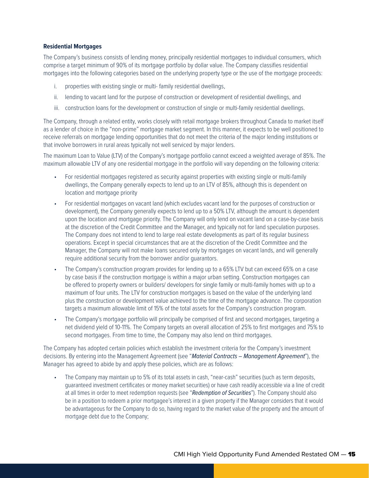#### **Residential Mortgages**

The Company's business consists of lending money, principally residential mortgages to individual consumers, which comprise a target minimum of 90% of its mortgage portfolio by dollar value. The Company classifies residential mortgages into the following categories based on the underlying property type or the use of the mortgage proceeds:

- i. properties with existing single or multi- family residential dwellings,
- ii. lending to vacant land for the purpose of construction or development of residential dwellings, and
- iii. construction loans for the development or construction of single or multi-family residential dwellings.

The Company, through a related entity, works closely with retail mortgage brokers throughout Canada to market itself as a lender of choice in the "non-prime" mortgage market segment. In this manner, it expects to be well positioned to receive referrals on mortgage lending opportunities that do not meet the criteria of the major lending institutions or that involve borrowers in rural areas typically not well serviced by major lenders.

The maximum Loan to Value (LTV) of the Company's mortgage portfolio cannot exceed a weighted average of 85%. The maximum allowable LTV of any one residential mortgage in the portfolio will vary depending on the following criteria:

- For residential mortgages registered as security against properties with existing single or multi-family dwellings, the Company generally expects to lend up to an LTV of 85%, although this is dependent on location and mortgage priority
- For residential mortgages on vacant land (which excludes vacant land for the purposes of construction or development), the Company generally expects to lend up to a 50% LTV, although the amount is dependent upon the location and mortgage priority. The Company will only lend on vacant land on a case-by-case basis at the discretion of the Credit Committee and the Manager, and typically not for land speculation purposes. The Company does not intend to lend to large real estate developments as part of its regular business operations. Except in special circumstances that are at the discretion of the Credit Committee and the Manager, the Company will not make loans secured only by mortgages on vacant lands, and will generally require additional security from the borrower and/or guarantors.
- The Company's construction program provides for lending up to a 65% LTV but can exceed 65% on a case by case basis if the construction mortgage is within a major urban setting. Construction mortgages can be offered to property owners or builders/ developers for single family or multi-family homes with up to a maximum of four units. The LTV for construction mortgages is based on the value of the underlying land plus the construction or development value achieved to the time of the mortgage advance. The corporation targets a maximum allowable limit of 15% of the total assets for the Company's construction program.
- The Company's mortgage portfolio will principally be comprised of first and second mortgages, targeting a net dividend yield of 10-11%. The Company targets an overall allocation of 25% to first mortgages and 75% to second mortgages. From time to time, the Company may also lend on third mortgages.

The Company has adopted certain policies which establish the investment criteria for the Company's investment decisions. By entering into the Management Agreement (see "*Material Contracts – Management Agreement*"), the Manager has agreed to abide by and apply these policies, which are as follows:

• The Company may maintain up to 5% of its total assets in cash, "near-cash" securities (such as term deposits, guaranteed investment certificates or money market securities) or have cash readily accessible via a line of credit at all times in order to meet redemption requests (see "*Redemption of Securities*"). The Company should also be in a position to redeem a prior mortgagee's interest in a given property if the Manager considers that it would be advantageous for the Company to do so, having regard to the market value of the property and the amount of mortgage debt due to the Company;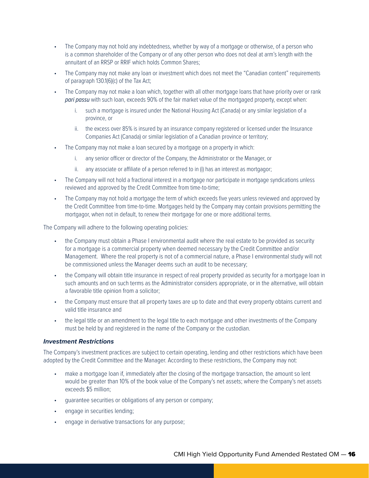- The Company may not hold any indebtedness, whether by way of a mortgage or otherwise, of a person who is a common shareholder of the Company or of any other person who does not deal at arm's length with the annuitant of an RRSP or RRIF which holds Common Shares;
- The Company may not make any loan or investment which does not meet the "Canadian content" requirements of paragraph 130.1(6)(c) of the Tax Act;
- The Company may not make a loan which, together with all other mortgage loans that have priority over or rank *pari passu* with such loan, exceeds 90% of the fair market value of the mortgaged property, except when:
	- i. such a mortgage is insured under the National Housing Act (Canada) or any similar legislation of a province, or
	- ii. the excess over 85% is insured by an insurance company registered or licensed under the Insurance Companies Act (Canada) or similar legislation of a Canadian province or territory;
- The Company may not make a loan secured by a mortgage on a property in which:
	- i. any senior officer or director of the Company, the Administrator or the Manager, or
	- ii. any associate or affiliate of a person referred to in (i) has an interest as mortgagor;
- The Company will not hold a fractional interest in a mortgage nor participate in mortgage syndications unless reviewed and approved by the Credit Committee from time-to-time;
- The Company may not hold a mortgage the term of which exceeds five years unless reviewed and approved by the Credit Committee from time-to-time. Mortgages held by the Company may contain provisions permitting the mortgagor, when not in default, to renew their mortgage for one or more additional terms.

The Company will adhere to the following operating policies:

- the Company must obtain a Phase I environmental audit where the real estate to be provided as security for a mortgage is a commercial property when deemed necessary by the Credit Committee and/or Management. Where the real property is not of a commercial nature, a Phase I environmental study will not be commissioned unless the Manager deems such an audit to be necessary;
- the Company will obtain title insurance in respect of real property provided as security for a mortgage loan in such amounts and on such terms as the Administrator considers appropriate, or in the alternative, will obtain a favorable title opinion from a solicitor;
- the Company must ensure that all property taxes are up to date and that every property obtains current and valid title insurance and
- the legal title or an amendment to the legal title to each mortgage and other investments of the Company must be held by and registered in the name of the Company or the custodian.

#### *Investment Restrictions*

The Company's investment practices are subject to certain operating, lending and other restrictions which have been adopted by the Credit Committee and the Manager. According to these restrictions, the Company may not:

- make a mortgage loan if, immediately after the closing of the mortgage transaction, the amount so lent would be greater than 10% of the book value of the Company's net assets; where the Company's net assets exceeds \$5 million;
- guarantee securities or obligations of any person or company;
- engage in securities lending;
- engage in derivative transactions for any purpose;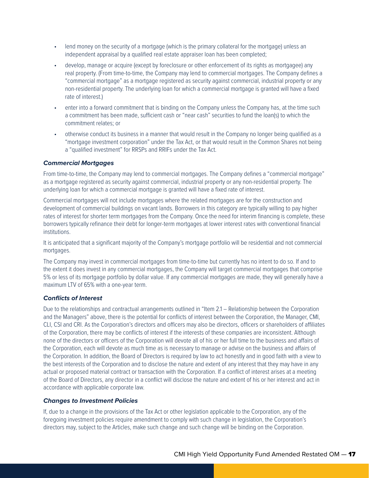- lend money on the security of a mortgage (which is the primary collateral for the mortgage) unless an independent appraisal by a qualified real estate appraiser loan has been completed;
- develop, manage or acquire (except by foreclosure or other enforcement of its rights as mortgagee) any real property. (From time-to-time, the Company may lend to commercial mortgages. The Company defines a "commercial mortgage" as a mortgage registered as security against commercial, industrial property or any non-residential property. The underlying loan for which a commercial mortgage is granted will have a fixed rate of interest.)
- enter into a forward commitment that is binding on the Company unless the Company has, at the time such a commitment has been made, sufficient cash or "near cash" securities to fund the loan(s) to which the commitment relates; or
- otherwise conduct its business in a manner that would result in the Company no longer being qualified as a "mortgage investment corporation" under the Tax Act, or that would result in the Common Shares not being a "qualified investment" for RRSPs and RRIFs under the Tax Act.

#### *Commercial Mortgages*

From time-to-time, the Company may lend to commercial mortgages. The Company defines a "commercial mortgage" as a mortgage registered as security against commercial, industrial property or any non-residential property. The underlying loan for which a commercial mortgage is granted will have a fixed rate of interest.

Commercial mortgages will not include mortgages where the related mortgages are for the construction and development of commercial buildings on vacant lands. Borrowers in this category are typically willing to pay higher rates of interest for shorter term mortgages from the Company. Once the need for interim financing is complete, these borrowers typically refinance their debt for longer-term mortgages at lower interest rates with conventional financial institutions.

It is anticipated that a significant majority of the Company's mortgage portfolio will be residential and not commercial mortgages.

The Company may invest in commercial mortgages from time-to-time but currently has no intent to do so. If and to the extent it does invest in any commercial mortgages, the Company will target commercial mortgages that comprise 5% or less of its mortgage portfolio by dollar value. If any commercial mortgages are made, they will generally have a maximum LTV of 65% with a one-year term.

#### *Conflicts of Interest*

Due to the relationships and contractual arrangements outlined in "Item 2.1 – Relationship between the Corporation and the Managers" above, there is the potential for conflicts of interest between the Corporation, the Manager, CMI, CLI, CSI and CRI. As the Corporation's directors and officers may also be directors, officers or shareholders of affiliates of the Corporation, there may be conflicts of interest if the interests of these companies are inconsistent. Although none of the directors or officers of the Corporation will devote all of his or her full time to the business and affairs of the Corporation, each will devote as much time as is necessary to manage or advise on the business and affairs of the Corporation. In addition, the Board of Directors is required by law to act honestly and in good faith with a view to the best interests of the Corporation and to disclose the nature and extent of any interest that they may have in any actual or proposed material contract or transaction with the Corporation. If a conflict of interest arises at a meeting of the Board of Directors, any director in a conflict will disclose the nature and extent of his or her interest and act in accordance with applicable corporate law.

#### *Changes to Investment Policies*

If, due to a change in the provisions of the Tax Act or other legislation applicable to the Corporation, any of the foregoing investment policies require amendment to comply with such change in legislation, the Corporation's directors may, subject to the Articles, make such change and such change will be binding on the Corporation.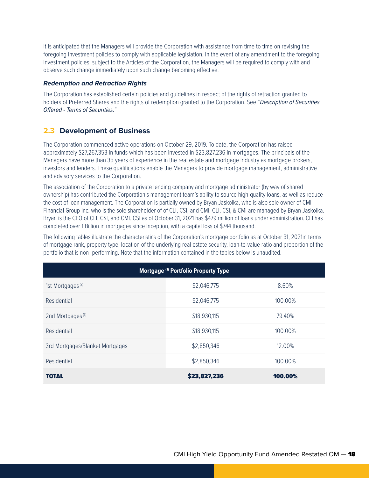It is anticipated that the Managers will provide the Corporation with assistance from time to time on revising the foregoing investment policies to comply with applicable legislation. In the event of any amendment to the foregoing investment policies, subject to the Articles of the Corporation, the Managers will be required to comply with and observe such change immediately upon such change becoming effective.

#### *Redemption and Retraction Rights*

The Corporation has established certain policies and guidelines in respect of the rights of retraction granted to holders of Preferred Shares and the rights of redemption granted to the Corporation. See "*Description of Securities Offered - Terms of Securities.*"

## **2.3 Development of Business**

The Corporation commenced active operations on October 29, 2019. To date, the Corporation has raised approximately \$27,267,353 in funds which has been invested in \$23,827,236 in mortgages. The principals of the Managers have more than 35 years of experience in the real estate and mortgage industry as mortgage brokers, investors and lenders. These qualifications enable the Managers to provide mortgage management, administrative and advisory services to the Corporation.

The association of the Corporation to a private lending company and mortgage administrator (by way of shared ownership) has contributed the Corporation's management team's ability to source high-quality loans, as well as reduce the cost of loan management. The Corporation is partially owned by Bryan Jaskolka, who is also sole owner of CMI Financial Group Inc. who is the sole shareholder of of CLI, CSI, and CMI. CLI, CSI, & CMI are managed by Bryan Jaskolka. Bryan is the CEO of CLI, CSI, and CMI. CSI as of October 31, 2021 has \$479 million of loans under administration. CLI has completed over 1 Billion in mortgages since Inception, with a capital loss of \$744 thousand.

The following tables illustrate the characteristics of the Corporation's mortgage portfolio as at October 31, 2021in terms of mortgage rank, property type, location of the underlying real estate security, loan-to-value ratio and proportion of the portfolio that is non- performing. Note that the information contained in the tables below is unaudited.

| <b>Mortgage (1) Portfolio Property Type</b> |              |         |  |  |
|---------------------------------------------|--------------|---------|--|--|
| 1st Mortgages <sup>(2)</sup>                | \$2,046,775  | 8.60%   |  |  |
| Residential                                 | \$2,046,775  | 100.00% |  |  |
| 2nd Mortgages <sup>(3)</sup>                | \$18,930,115 | 79.40%  |  |  |
| Residential                                 | \$18,930,115 | 100.00% |  |  |
| 3rd Mortgages/Blanket Mortgages             | \$2,850,346  | 12.00%  |  |  |
| Residential                                 | \$2,850,346  | 100.00% |  |  |
| <b>TOTAL</b>                                | \$23,827,236 | 100.00% |  |  |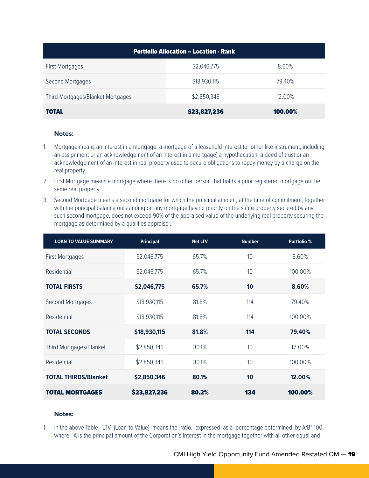| <b>Portfolio Allocation - Location - Rank</b> |              |         |  |
|-----------------------------------------------|--------------|---------|--|
| <b>First Mortgages</b>                        | \$2,046,775  | 8.60%   |  |
| Second Mortgages                              | \$18,930,115 | 79.40%  |  |
| Third Mortgages/Blanket Mortgages             | \$2,850,346  | 12.00%  |  |
| TOTAL                                         | \$23,827,236 | 100.00% |  |

#### **Notes:**

- 1. Mortgage means an interest in a mortgage, a mortgage of a leasehold interest (or other like instrument, including an assignment or an acknowledgement of an interest in a mortgage) a hypothecation, a deed of trust or an acknowledgement of an interest in real property used to secure obligations to repay money by a charge on the real property.
- 2. First Mortgage means a mortgage where there is no other person that holds a prior registered mortgage on the same real property.
- 3. Second Mortgage means a second mortgage for which the principal amount, at the time of commitment, together with the principal balance outstanding on any mortgage having priority on the same property secured by any such second mortgage, does not exceed 90% of the appraised value of the underlying real property securing the mortgage as determined by a qualifies appraiser.

| <b>LOAN TO VALUE SUMMARY</b> | <b>Principal</b> | <b>Net LTV</b> | <b>Number</b>   | Portfolio % |
|------------------------------|------------------|----------------|-----------------|-------------|
| <b>First Mortgages</b>       | \$2,046,775      | 65.7%          | 10              | 8.60%       |
| Residential                  | \$2,046,775      | 65.7%          | 10              | 100.00%     |
| <b>TOTAL FIRSTS</b>          | \$2,046,775      | 65.7%          | 10              | 8.60%       |
| Second Mortgages             | \$18,930,115     | 81.8%          | 114             | 79.40%      |
| Residential                  | \$18,930,115     | 81.8%          | 114             | 100.00%     |
| <b>TOTAL SECONDS</b>         | \$18,930,115     | 81.8%          | 114             | 79.40%      |
| Third Mortgages/Blanket      | \$2,850,346      | 80.1%          | 10 <sup>°</sup> | 12.00%      |
| Residential                  | \$2,850,346      | 80.1%          | 10              | 100.00%     |
| <b>TOTAL THIRDS/Blanket</b>  | \$2,850,346      | 80.1%          | 10              | 12.00%      |
| <b>TOTAL MORTGAGES</b>       | \$23,827,236     | 80.2%          | 134             | 100.00%     |

#### **Notes:**

1. In the above Table, LTV (Loan-to-Value) means the ratio, expressed as a percentage determined by A/B\* 100 where: A is the principal amount of the Corporation's interest in the mortgage together with all other equal and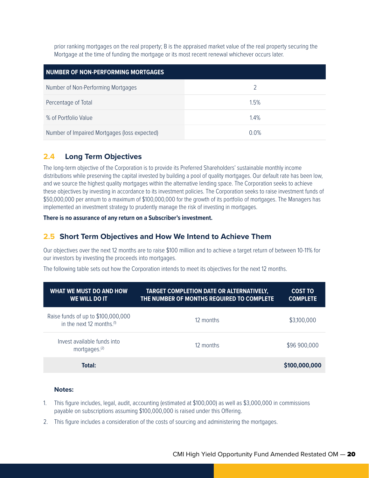prior ranking mortgages on the real property; B is the appraised market value of the real property securing the Mortgage at the time of funding the mortgage or its most recent renewal whichever occurs later.

| NUMBER OF NON-PERFORMING MORTGAGES           |               |  |  |
|----------------------------------------------|---------------|--|--|
| Number of Non-Performing Mortgages           | $\mathcal{D}$ |  |  |
| Percentage of Total                          | 1.5%          |  |  |
| % of Portfolio Value                         | 1.4%          |  |  |
| Number of Impaired Mortgages (loss expected) | 0.0%          |  |  |

## **2.4 Long Term Objectives**

The long-term objective of the Corporation is to provide its Preferred Shareholders' sustainable monthly income distributions while preserving the capital invested by building a pool of quality mortgages. Our default rate has been low, and we source the highest quality mortgages within the alternative lending space. The Corporation seeks to achieve these objectives by investing in accordance to its investment policies. The Corporation seeks to raise investment funds of \$50,000,000 per annum to a maximum of \$100,000,000 for the growth of its portfolio of mortgages. The Managers has implemented an investment strategy to prudently manage the risk of investing in mortgages.

#### **There is no assurance of any return on a Subscriber's investment.**

### **2.5 Short Term Objectives and How We Intend to Achieve Them**

Our objectives over the next 12 months are to raise \$100 million and to achieve a target return of between 10-11% for our investors by investing the proceeds into mortgages.

The following table sets out how the Corporation intends to meet its objectives for the next 12 months.

| WHAT WE MUST DO AND HOW<br>WE WILL DO IT                                    | <b>TARGET COMPLETION DATE OR ALTERNATIVELY,</b><br>THE NUMBER OF MONTHS REQUIRED TO COMPLETE | <b>COST TO</b><br><b>COMPLETE</b> |
|-----------------------------------------------------------------------------|----------------------------------------------------------------------------------------------|-----------------------------------|
| Raise funds of up to \$100,000,000<br>in the next 12 months. <sup>(1)</sup> | 12 months                                                                                    | \$3,100,000                       |
| Invest available funds into<br>mortgages. <sup>(2)</sup>                    | 12 months                                                                                    | \$96 900,000                      |
| Total:                                                                      |                                                                                              | \$100,000,000                     |

#### **Notes:**

- 1. This figure includes, legal, audit, accounting (estimated at \$100,000) as well as \$3,000,000 in commissions payable on subscriptions assuming \$100,000,000 is raised under this Offering.
- 2. This figure includes a consideration of the costs of sourcing and administering the mortgages.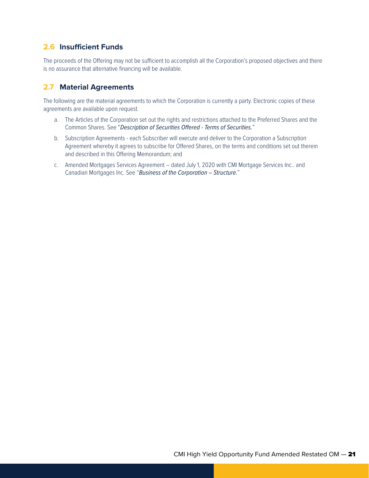## **2.6 Insufficient Funds**

The proceeds of the Offering may not be sufficient to accomplish all the Corporation's proposed objectives and there is no assurance that alternative financing will be available.

## **2.7 Material Agreements**

The following are the material agreements to which the Corporation is currently a party. Electronic copies of these agreements are available upon request.

- a. The Articles of the Corporation set out the rights and restrictions attached to the Preferred Shares and the Common Shares. See "*Description of Securities Offered - Terms of Securities.*"
- b. Subscription Agreements each Subscriber will execute and deliver to the Corporation a Subscription Agreement whereby it agrees to subscribe for Offered Shares, on the terms and conditions set out therein and described in this Offering Memorandum; and
- c. Amended Mortgages Services Agreement dated July 1, 2020 with CMI Mortgage Services Inc.. and Canadian Mortgages Inc. See "*Business of the Corporation – Structure.*"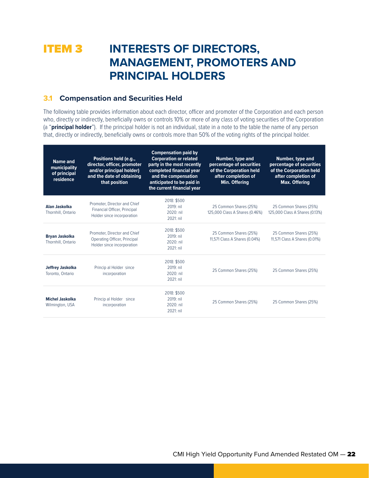## **ITEM 3 INTERESTS OF DIRECTORS, MANAGEMENT, PROMOTERS AND PRINCIPAL HOLDERS**

## **3.1 Compensation and Securities Held**

The following table provides information about each director, officer and promoter of the Corporation and each person who, directly or indirectly, beneficially owns or controls 10% or more of any class of voting securities of the Corporation (a "**principal holder**"). If the principal holder is not an individual, state in a note to the table the name of any person that, directly or indirectly, beneficially owns or controls more than 50% of the voting rights of the principal holder.

| Name and<br>municipality<br>of principal<br>residence | Positions held (e.g.,<br>director, officer, promoter<br>and/or principal holder)<br>and the date of obtaining<br>that position | <b>Compensation paid by</b><br><b>Corporation or related</b><br>party in the most recently<br>completed financial year<br>and the compensation<br>anticipated to be paid in<br>the current financial year | <b>Number, type and</b><br>percentage of securities<br>of the Corporation held<br>after completion of<br>Min. Offering | Number, type and<br>percentage of securities<br>of the Corporation held<br>after completion of<br><b>Max. Offering</b> |
|-------------------------------------------------------|--------------------------------------------------------------------------------------------------------------------------------|-----------------------------------------------------------------------------------------------------------------------------------------------------------------------------------------------------------|------------------------------------------------------------------------------------------------------------------------|------------------------------------------------------------------------------------------------------------------------|
| Alan Jaskolka<br>Thornhill, Ontario                   | Promoter, Director and Chief<br>Financial Officer, Principal<br>Holder since incorporation                                     | 2018: \$500<br>2019: nil<br>$2020:$ nil<br>2021: nil                                                                                                                                                      | 25 Common Shares (25%)<br>125,000 Class A Shares (0.46%)                                                               | 25 Common Shares (25%)<br>125,000 Class A Shares (0.13%)                                                               |
| <b>Bryan Jaskolka</b><br>Thornhill, Ontario           | Promoter, Director and Chief<br>Operating Officer, Principal<br>Holder since incorporation                                     | 2018: \$500<br>2019: nil<br>2020: nil<br>2021: nil                                                                                                                                                        | 25 Common Shares (25%)<br>11,571 Class A Shares (0.04%)                                                                | 25 Common Shares (25%)<br>11,571 Class A Shares (0.01%)                                                                |
| <b>Jeffrey Jaskolka</b><br>Toronto, Ontario           | Princip al Holder since<br>incorporation                                                                                       | 2018: \$500<br>2019: nil<br>2020: nil<br>2021: nil                                                                                                                                                        | 25 Common Shares (25%)                                                                                                 | 25 Common Shares (25%)                                                                                                 |
| <b>Michel Jaskolka</b><br>Wilmington, USA             | Princip al Holder since<br>incorporation                                                                                       | 2018: \$500<br>2019: nil<br>$2020:$ nil<br>2021: nil                                                                                                                                                      | 25 Common Shares (25%)                                                                                                 | 25 Common Shares (25%)                                                                                                 |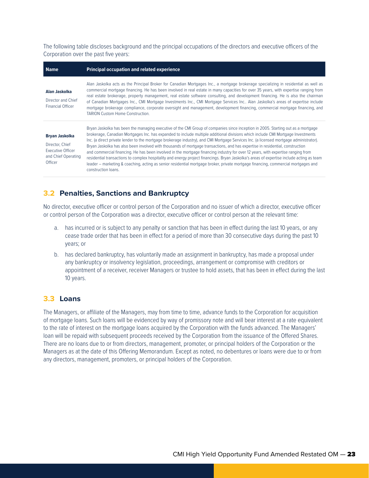The following table discloses background and the principal occupations of the directors and executive officers of the Corporation over the past five years:

| <b>Name</b>                                                                                     | <b>Principal occupation and related experience</b>                                                                                                                                                                                                                                                                                                                                                                                                                                                                                                                                                                                                                                                                                                                                                                                                                                                                                                                                          |  |  |  |
|-------------------------------------------------------------------------------------------------|---------------------------------------------------------------------------------------------------------------------------------------------------------------------------------------------------------------------------------------------------------------------------------------------------------------------------------------------------------------------------------------------------------------------------------------------------------------------------------------------------------------------------------------------------------------------------------------------------------------------------------------------------------------------------------------------------------------------------------------------------------------------------------------------------------------------------------------------------------------------------------------------------------------------------------------------------------------------------------------------|--|--|--|
| Alan Jaskolka<br>Director and Chief<br><b>Financial Officer</b>                                 | Alan Jaskolka acts as the Principal Broker for Canadian Mortgages Inc., a mortgage brokerage specializing in residential as well as<br>commercial mortgage financing. He has been involved in real estate in many capacities for over 35 years, with expertise ranging from<br>real estate brokerage, property management, real estate software consulting, and development financing. He is also the chairman<br>of Canadian Mortgages Inc., CMI Mortgage Investments Inc., CMI Mortgage Services Inc., Alan Jaskolka's areas of expertise include<br>mortgage brokerage compliance, corporate oversight and management, development financing, commercial mortgage financing, and<br><b>TARION Custom Home Construction.</b>                                                                                                                                                                                                                                                              |  |  |  |
| <b>Bryan Jaskolka</b><br>Director, Chief<br>Executive Officer<br>and Chief Operating<br>Officer | Bryan Jaskolka has been the managing executive of the CMI Group of companies since inception in 2005. Starting out as a mortgage<br>brokerage, Canadian Mortgages Inc. has expanded to include multiple additional divisions which include CMI Mortgage Investments<br>Inc. (a direct private lender to the mortgage brokerage industry), and CMI Mortgage Services Inc. (a licensed mortgage administrator).<br>Bryan Jaskolka has also been involved with thousands of mortgage transactions, and has expertise in residential, construction<br>and commercial financing. He has been involved in the mortgage financing industry for over 12 years, with expertise ranging from<br>residential transactions to complex hospitality and energy project financings. Bryan Jaskolka's areas of expertise include acting as team<br>leader – marketing & coaching, acting as senior residential mortgage broker, private mortgage financing, commercial mortgages and<br>construction loans. |  |  |  |

## **3.2 Penalties, Sanctions and Bankruptcy**

No director, executive officer or control person of the Corporation and no issuer of which a director, executive officer or control person of the Corporation was a director, executive officer or control person at the relevant time:

- a. has incurred or is subject to any penalty or sanction that has been in effect during the last 10 years, or any cease trade order that has been in effect for a period of more than 30 consecutive days during the past 10 years; or
- b. has declared bankruptcy, has voluntarily made an assignment in bankruptcy, has made a proposal under any bankruptcy or insolvency legislation, proceedings, arrangement or compromise with creditors or appointment of a receiver, receiver Managers or trustee to hold assets, that has been in effect during the last 10 years.

### **3.3 Loans**

The Managers, or affiliate of the Managers, may from time to time, advance funds to the Corporation for acquisition of mortgage loans. Such loans will be evidenced by way of promissory note and will bear interest at a rate equivalent to the rate of interest on the mortgage loans acquired by the Corporation with the funds advanced. The Managers' loan will be repaid with subsequent proceeds received by the Corporation from the issuance of the Offered Shares. There are no loans due to or from directors, management, promoter, or principal holders of the Corporation or the Managers as at the date of this Offering Memorandum. Except as noted, no debentures or loans were due to or from any directors, management, promoters, or principal holders of the Corporation.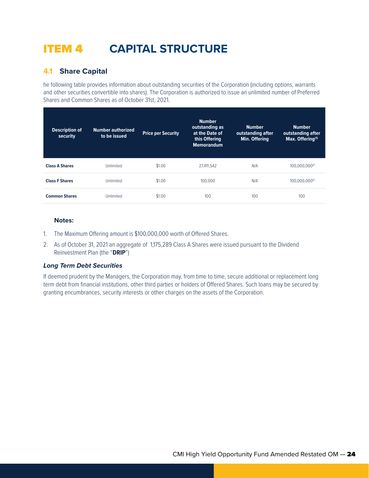## ITEM 4 **CAPITAL STRUCTURE**

## **4.1 Share Capital**

he following table provides information about outstanding securities of the Corporation (including options, warrants and other securities convertible into shares). The Corporation is authorized to issue an unlimited number of Preferred Shares and Common Shares as of October 31st, 2021.

| <b>Description of</b><br>security | <b>Number authorized</b><br>to be issued | <b>Price per Security</b> | <b>Number</b><br>outstanding as<br>at the Date of<br>this Offering<br><b>Memorandum</b> | <b>Number</b><br>outstanding after<br>Min. Offering | <b>Number</b><br>outstanding after<br>Max. Offering <sup>(1)</sup> |
|-----------------------------------|------------------------------------------|---------------------------|-----------------------------------------------------------------------------------------|-----------------------------------------------------|--------------------------------------------------------------------|
| <b>Class A Shares</b>             | Unlimited                                | \$1.00                    | 27.411.542                                                                              | N/A                                                 | 100.000.000(1)                                                     |
| <b>Class F Shares</b>             | Unlimited                                | \$1.00                    | 100,000                                                                                 | N/A                                                 | 100.000.000(1)                                                     |
| <b>Common Shares</b>              | Unlimited                                | \$1.00                    | 100                                                                                     | 100                                                 | 100                                                                |

#### **Notes:**

- 1. The Maximum Offering amount is \$100,000,000 worth of Offered Shares.
- 2. As of October 31, 2021 an aggregate of 1,175,289 Class A Shares were issued pursuant to the Dividend Reinvestment Plan (the "**DRIP**")

#### *Long Term Debt Securities*

If deemed prudent by the Managers, the Corporation may, from time to time, secure additional or replacement long term debt from financial institutions, other third parties or holders of Offered Shares. Such loans may be secured by granting encumbrances, security interests or other charges on the assets of the Corporation.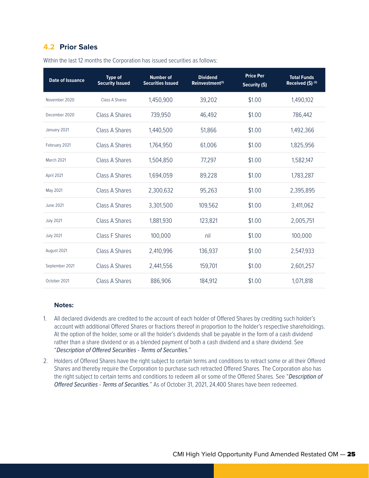## **4.2 Prior Sales**

| <b>Date of Issuance</b> | <b>Type of</b><br><b>Security Issued</b> | <b>Number of</b><br><b>Securities Issued</b> | <b>Dividend</b><br>Reinvestment <sup>(1)</sup> | <b>Price Per</b><br>Security (\$) | <b>Total Funds</b><br>Received (\$) (2) |
|-------------------------|------------------------------------------|----------------------------------------------|------------------------------------------------|-----------------------------------|-----------------------------------------|
| November 2020           | Class A Shares                           | 1,450,900                                    | 39,202                                         | \$1.00                            | 1,490,102                               |
| December 2020           | Class A Shares                           | 739,950                                      | 46,492                                         | \$1.00                            | 786,442                                 |
| January 2021            | Class A Shares                           | 1,440,500                                    | 51,866                                         | \$1.00                            | 1,492,366                               |
| February 2021           | Class A Shares                           | 1,764,950                                    | 61,006                                         | \$1.00                            | 1,825,956                               |
| March 2021              | Class A Shares                           | 1,504,850                                    | 77,297                                         | \$1.00                            | 1,582,147                               |
| April 2021              | Class A Shares                           | 1,694,059                                    | 89,228                                         | \$1.00                            | 1,783,287                               |
| May 2021                | Class A Shares                           | 2,300,632                                    | 95,263                                         | \$1.00                            | 2,395,895                               |
| <b>June 2021</b>        | Class A Shares                           | 3,301,500                                    | 109,562                                        | \$1.00                            | 3,411,062                               |
| <b>July 2021</b>        | Class A Shares                           | 1,881,930                                    | 123,821                                        | \$1.00                            | 2,005,751                               |
| <b>July 2021</b>        | Class F Shares                           | 100,000                                      | nil                                            | \$1.00                            | 100,000                                 |
| August 2021             | Class A Shares                           | 2,410,996                                    | 136,937                                        | \$1.00                            | 2,547,933                               |
| September 2021          | Class A Shares                           | 2,441,556                                    | 159,701                                        | \$1.00                            | 2,601,257                               |
| October 2021            | <b>Class A Shares</b>                    | 886,906                                      | 184,912                                        | \$1.00                            | 1,071,818                               |

Within the last 12 months the Corporation has issued securities as follows:

#### **Notes:**

- 1. All declared dividends are credited to the account of each holder of Offered Shares by crediting such holder's account with additional Offered Shares or fractions thereof in proportion to the holder's respective shareholdings. At the option of the holder, some or all the holder's dividends shall be payable in the form of a cash dividend rather than a share dividend or as a blended payment of both a cash dividend and a share dividend. See "*Description of Offered Securities - Terms of Securities.*"
- 2. Holders of Offered Shares have the right subject to certain terms and conditions to retract some or all their Offered Shares and thereby require the Corporation to purchase such retracted Offered Shares. The Corporation also has the right subject to certain terms and conditions to redeem all or some of the Offered Shares. See "*Description of Offered Securities - Terms of Securities.*" As of October 31, 2021, 24,400 Shares have been redeemed.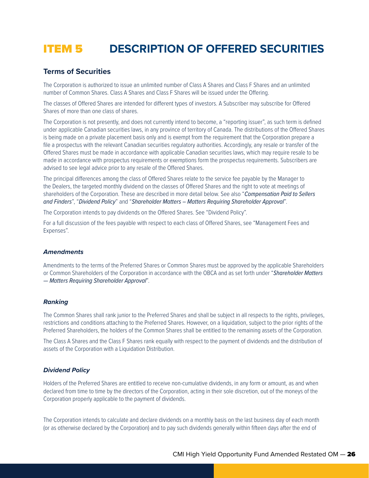## ITEM 5 **DESCRIPTION OF OFFERED SECURITIES**

### **Terms of Securities**

The Corporation is authorized to issue an unlimited number of Class A Shares and Class F Shares and an unlimited number of Common Shares. Class A Shares and Class F Shares will be issued under the Offering.

The classes of Offered Shares are intended for different types of investors. A Subscriber may subscribe for Offered Shares of more than one class of shares.

The Corporation is not presently, and does not currently intend to become, a "reporting issuer", as such term is defined under applicable Canadian securities laws, in any province of territory of Canada. The distributions of the Offered Shares is being made on a private placement basis only and is exempt from the requirement that the Corporation prepare a file a prospectus with the relevant Canadian securities regulatory authorities. Accordingly, any resale or transfer of the Offered Shares must be made in accordance with applicable Canadian securities laws, which may require resale to be made in accordance with prospectus requirements or exemptions form the prospectus requirements. Subscribers are advised to see legal advice prior to any resale of the Offered Shares.

The principal differences among the class of Offered Shares relate to the service fee payable by the Manager to the Dealers, the targeted monthly dividend on the classes of Offered Shares and the right to vote at meetings of shareholders of the Corporation. These are described in more detail below. See also "*Compensation Paid to Sellers and Finders*", "*Dividend Policy*" and "*Shareholder Matters – Matters Requiring Shareholder Approval*".

The Corporation intends to pay dividends on the Offered Shares. See "Dividend Policy".

For a full discussion of the fees payable with respect to each class of Offered Shares, see "Management Fees and Expenses".

#### *Amendments*

Amendments to the terms of the Preferred Shares or Common Shares must be approved by the applicable Shareholders or Common Shareholders of the Corporation in accordance with the OBCA and as set forth under "*Shareholder Matters — Matters Requiring Shareholder Approval*".

#### *Ranking*

The Common Shares shall rank junior to the Preferred Shares and shall be subject in all respects to the rights, privileges, restrictions and conditions attaching to the Preferred Shares. However, on a liquidation, subject to the prior rights of the Preferred Shareholders, the holders of the Common Shares shall be entitled to the remaining assets of the Corporation.

The Class A Shares and the Class F Shares rank equally with respect to the payment of dividends and the distribution of assets of the Corporation with a Liquidation Distribution.

#### *Dividend Policy*

Holders of the Preferred Shares are entitled to receive non-cumulative dividends, in any form or amount, as and when declared from time to time by the directors of the Corporation, acting in their sole discretion, out of the moneys of the Corporation properly applicable to the payment of dividends.

The Corporation intends to calculate and declare dividends on a monthly basis on the last business day of each month (or as otherwise declared by the Corporation) and to pay such dividends generally within fifteen days after the end of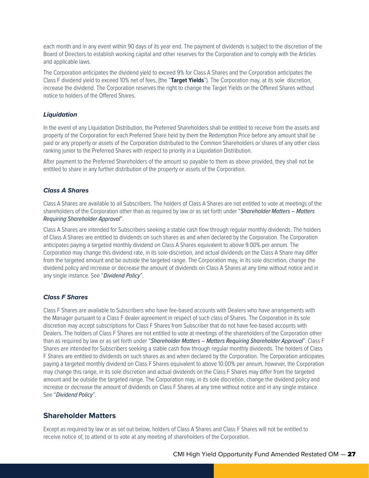each month and in any event within 90 days of its year end. The payment of dividends is subject to the discretion of the Board of Directors to establish working capital and other reserves for the Corporation and to comply with the Articles and applicable laws.

The Corporation anticipates the dividend yield to exceed 9% for Class A Shares and the Corporation anticipates the Class F dividend yield to exceed 10% net of fees, (the "**Target Yields**"). The Corporation may, at its sole discretion, increase the dividend. The Corporation reserves the right to change the Target Yields on the Offered Shares without notice to holders of the Offered Shares.

#### *Liquidation*

In the event of any Liquidation Distribution, the Preferred Shareholders shall be entitled to receive from the assets and property of the Corporation for each Preferred Share held by them the Redemption Price before any amount shall be paid or any property or assets of the Corporation distributed to the Common Shareholders or shares of any other class ranking junior to the Preferred Shares with respect to priority in a Liquidation Distribution.

After payment to the Preferred Shareholders of the amount so payable to them as above provided, they shall not be entitled to share in any further distribution of the property or assets of the Corporation.

#### *Class A Shares*

Class A Shares are available to all Subscribers. The holders of Class A Shares are not entitled to vote at meetings of the shareholders of the Corporation other than as required by law or as set forth under "*Shareholder Matters – Matters Requiring Shareholder Approval*".

Class A Shares are intended for Subscribers seeking a stable cash flow through regular monthly dividends. The holders of Class A Shares are entitled to dividends on such shares as and when declared by the Corporation. The Corporation anticipates paying a targeted monthly dividend on Class A Shares equivalent to above 9.00% per annum. The Corporation may change this dividend rate, in its sole discretion, and actual dividends on the Class A Share may differ from the targeted amount and be outside the targeted range. The Corporation may, in its sole discretion, change the dividend policy and increase or decrease the amount of dividends on Class A Shares at any time without notice and in any single instance. See "*Dividend Policy*".

#### *Class F Shares*

Class F Shares are available to Subscribers who have fee-based accounts with Dealers who have arrangements with the Manager pursuant to a Class F dealer agreement in respect of such class of Shares. The Corporation in its sole discretion may accept subscriptions for Class F Shares from Subscriber that do not have fee-based accounts with Dealers. The holders of Class F Shares are not entitled to vote at meetings of the shareholders of the Corporation other than as required by law or as set forth under "*Shareholder Matters – Matters Requiring Shareholder Approval*". Class F Shares are intended for Subscribers seeking a stable cash flow through regular monthly dividends. The holders of Class F Shares are entitled to dividends on such shares as and when declared by the Corporation. The Corporation anticipates paying a targeted monthly dividend on Class F Shares equivalent to above 10.00% per annum, however, the Corporation may change this range, in its sole discretion and actual dividends on the Class F Shares may differ from the targeted amount and be outside the targeted range. The Corporation may, in its sole discretion, change the dividend policy and increase or decrease the amount of dividends on Class F Shares at any time without notice and in any single instance. See "*Dividend Policy*".

### **Shareholder Matters**

Except as required by law or as set out below, holders of Class A Shares and Class F Shares will not be entitled to receive notice of, to attend or to vote at any meeting of shareholders of the Corporation.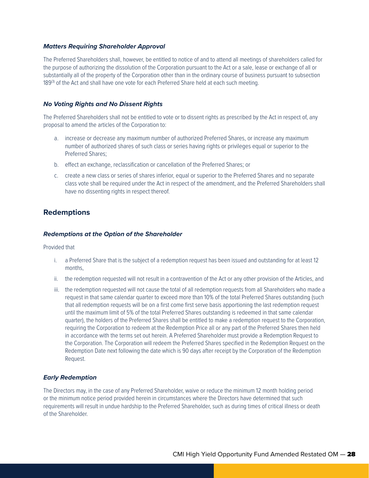#### *Matters Requiring Shareholder Approval*

The Preferred Shareholders shall, however, be entitled to notice of and to attend all meetings of shareholders called for the purpose of authorizing the dissolution of the Corporation pursuant to the Act or a sale, lease or exchange of all or substantially all of the property of the Corporation other than in the ordinary course of business pursuant to subsection 189<sup>(3)</sup> of the Act and shall have one vote for each Preferred Share held at each such meeting.

#### *No Voting Rights and No Dissent Rights*

The Preferred Shareholders shall not be entitled to vote or to dissent rights as prescribed by the Act in respect of, any proposal to amend the articles of the Corporation to:

- a. increase or decrease any maximum number of authorized Preferred Shares, or increase any maximum number of authorized shares of such class or series having rights or privileges equal or superior to the Preferred Shares;
- b. effect an exchange, reclassification or cancellation of the Preferred Shares; or
- c. create a new class or series of shares inferior, equal or superior to the Preferred Shares and no separate class vote shall be required under the Act in respect of the amendment, and the Preferred Shareholders shall have no dissenting rights in respect thereof.

#### **Redemptions**

#### *Redemptions at the Option of the Shareholder*

Provided that

- i. a Preferred Share that is the subject of a redemption request has been issued and outstanding for at least 12 months,
- ii. the redemption requested will not result in a contravention of the Act or any other provision of the Articles, and
- iii. the redemption requested will not cause the total of all redemption requests from all Shareholders who made a request in that same calendar quarter to exceed more than 10% of the total Preferred Shares outstanding (such that all redemption requests will be on a first come first serve basis apportioning the last redemption request until the maximum limit of 5% of the total Preferred Shares outstanding is redeemed in that same calendar quarter), the holders of the Preferred Shares shall be entitled to make a redemption request to the Corporation, requiring the Corporation to redeem at the Redemption Price all or any part of the Preferred Shares then held in accordance with the terms set out herein. A Preferred Shareholder must provide a Redemption Request to the Corporation. The Corporation will redeem the Preferred Shares specified in the Redemption Request on the Redemption Date next following the date which is 90 days after receipt by the Corporation of the Redemption Request.

#### *Early Redemption*

The Directors may, in the case of any Preferred Shareholder, waive or reduce the minimum 12 month holding period or the minimum notice period provided herein in circumstances where the Directors have determined that such requirements will result in undue hardship to the Preferred Shareholder, such as during times of critical illness or death of the Shareholder.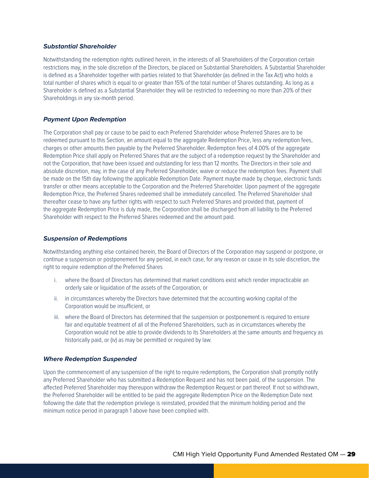#### *Substantial Shareholder*

Notwithstanding the redemption rights outlined herein, in the interests of all Shareholders of the Corporation certain restrictions may, in the sole discretion of the Directors, be placed on Substantial Shareholders. A Substantial Shareholder is defined as a Shareholder together with parties related to that Shareholder (as defined in the Tax Act) who holds a total number of shares which is equal to or greater than 15% of the total number of Shares outstanding. As long as a Shareholder is defined as a Substantial Shareholder they will be restricted to redeeming no more than 20% of their Shareholdings in any six-month period.

#### *Payment Upon Redemption*

The Corporation shall pay or cause to be paid to each Preferred Shareholder whose Preferred Shares are to be redeemed pursuant to this Section, an amount equal to the aggregate Redemption Price, less any redemption fees, charges or other amounts then payable by the Preferred Shareholder. Redemption fees of 4.00% of the aggregate Redemption Price shall apply on Preferred Shares that are the subject of a redemption request by the Shareholder and not the Corporation, that have been issued and outstanding for less than 12 months. The Directors in their sole and absolute discretion, may, in the case of any Preferred Shareholder, waive or reduce the redemption fees. Payment shall be made on the 15th day following the applicable Redemption Date. Payment maybe made by cheque, electronic funds transfer or other means acceptable to the Corporation and the Preferred Shareholder. Upon payment of the aggregate Redemption Price, the Preferred Shares redeemed shall be immediately cancelled. The Preferred Shareholder shall thereafter cease to have any further rights with respect to such Preferred Shares and provided that, payment of the aggregate Redemption Price is duly made, the Corporation shall be discharged from all liability to the Preferred Shareholder with respect to the Preferred Shares redeemed and the amount paid.

#### *Suspension of Redemptions*

Notwithstanding anything else contained herein, the Board of Directors of the Corporation may suspend or postpone, or continue a suspension or postponement for any period, in each case, for any reason or cause in its sole discretion, the right to require redemption of the Preferred Shares

- i. where the Board of Directors has determined that market conditions exist which render impracticable an orderly sale or liquidation of the assets of the Corporation, or
- ii. in circumstances whereby the Directors have determined that the accounting working capital of the Corporation would be insufficient, or
- iii. where the Board of Directors has determined that the suspension or postponement is required to ensure fair and equitable treatment of all of the Preferred Shareholders, such as in circumstances whereby the Corporation would not be able to provide dividends to its Shareholders at the same amounts and frequency as historically paid, or (iv) as may be permitted or required by law.

#### *Where Redemption Suspended*

Upon the commencement of any suspension of the right to require redemptions, the Corporation shall promptly notify any Preferred Shareholder who has submitted a Redemption Request and has not been paid, of the suspension. The affected Preferred Shareholder may thereupon withdraw the Redemption Request or part thereof. If not so withdrawn, the Preferred Shareholder will be entitled to be paid the aggregate Redemption Price on the Redemption Date next following the date that the redemption privilege is reinstated, provided that the minimum holding period and the minimum notice period in paragraph 1 above have been complied with.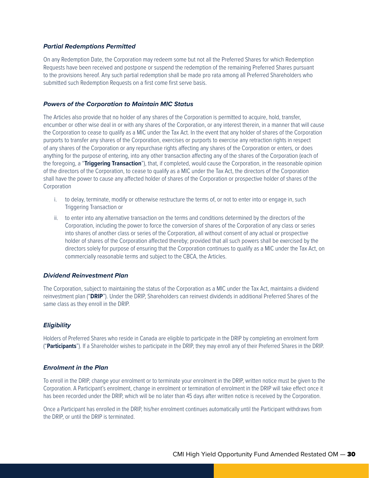#### *Partial Redemptions Permitted*

On any Redemption Date, the Corporation may redeem some but not all the Preferred Shares for which Redemption Requests have been received and postpone or suspend the redemption of the remaining Preferred Shares pursuant to the provisions hereof. Any such partial redemption shall be made pro rata among all Preferred Shareholders who submitted such Redemption Requests on a first come first serve basis.

#### *Powers of the Corporation to Maintain MIC Status*

The Articles also provide that no holder of any shares of the Corporation is permitted to acquire, hold, transfer, encumber or other wise deal in or with any shares of the Corporation, or any interest therein, in a manner that will cause the Corporation to cease to qualify as a MIC under the Tax Act. In the event that any holder of shares of the Corporation purports to transfer any shares of the Corporation, exercises or purports to exercise any retraction rights in respect of any shares of the Corporation or any repurchase rights affecting any shares of the Corporation or enters, or does anything for the purpose of entering, into any other transaction affecting any of the shares of the Corporation (each of the foregoing, a "**Triggering Transaction**"), that, if completed, would cause the Corporation, in the reasonable opinion of the directors of the Corporation, to cease to qualify as a MIC under the Tax Act, the directors of the Corporation shall have the power to cause any affected holder of shares of the Corporation or prospective holder of shares of the **Corporation** 

- i. to delay, terminate, modify or otherwise restructure the terms of, or not to enter into or engage in, such Triggering Transaction or
- ii. to enter into any alternative transaction on the terms and conditions determined by the directors of the Corporation, including the power to force the conversion of shares of the Corporation of any class or series into shares of another class or series of the Corporation, all without consent of any actual or prospective holder of shares of the Corporation affected thereby; provided that all such powers shall be exercised by the directors solely for purpose of ensuring that the Corporation continues to qualify as a MIC under the Tax Act, on commercially reasonable terms and subject to the CBCA, the Articles.

#### *Dividend Reinvestment Plan*

The Corporation, subject to maintaining the status of the Corporation as a MIC under the Tax Act, maintains a dividend reinvestment plan ("**DRIP**"). Under the DRIP, Shareholders can reinvest dividends in additional Preferred Shares of the same class as they enroll in the DRIP.

#### *Eligibility*

Holders of Preferred Shares who reside in Canada are eligible to participate in the DRIP by completing an enrolment form ("**Participants**"). If a Shareholder wishes to participate in the DRIP, they may enroll any of their Preferred Shares in the DRIP.

#### *Enrolment in the Plan*

To enroll in the DRIP, change your enrolment or to terminate your enrolment in the DRIP, written notice must be given to the Corporation. A Participant's enrolment, change in enrolment or termination of enrolment in the DRIP will take effect once it has been recorded under the DRIP, which will be no later than 45 days after written notice is received by the Corporation.

Once a Participant has enrolled in the DRIP, his/her enrolment continues automatically until the Participant withdraws from the DRIP, or until the DRIP is terminated.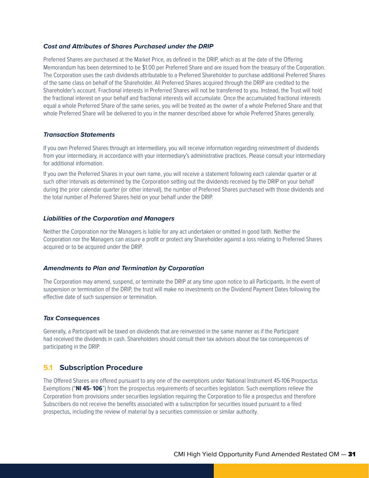#### *Cost and Attributes of Shares Purchased under the DRIP*

Preferred Shares are purchased at the Market Price, as defined in the DRIP, which as at the date of the Offering Memorandum has been determined to be \$1.00 per Preferred Share and are issued from the treasury of the Corporation. The Corporation uses the cash dividends attributable to a Preferred Shareholder to purchase additional Preferred Shares of the same class on behalf of the Shareholder. All Preferred Shares acquired through the DRIP are credited to the Shareholder's account. Fractional interests in Preferred Shares will not be transferred to you. Instead, the Trust will hold the fractional interest on your behalf and fractional interests will accumulate. Once the accumulated fractional interests equal a whole Preferred Share of the same series, you will be treated as the owner of a whole Preferred Share and that whole Preferred Share will be delivered to you in the manner described above for whole Preferred Shares generally.

#### *Transaction Statements*

If you own Preferred Shares through an intermediary, you will receive information regarding reinvestment of dividends from your intermediary, in accordance with your intermediary's administrative practices. Please consult your intermediary for additional information.

If you own the Preferred Shares in your own name, you will receive a statement following each calendar quarter or at such other intervals as determined by the Corporation setting out the dividends received by the DRIP on your behalf during the prior calendar quarter (or other interval), the number of Preferred Shares purchased with those dividends and the total number of Preferred Shares held on your behalf under the DRIP.

#### *Liabilities of the Corporation and Managers*

Neither the Corporation nor the Managers is liable for any act undertaken or omitted in good faith. Neither the Corporation nor the Managers can assure a profit or protect any Shareholder against a loss relating to Preferred Shares acquired or to be acquired under the DRIP.

#### *Amendments to Plan and Termination by Corporation*

The Corporation may amend, suspend, or terminate the DRIP at any time upon notice to all Participants. In the event of suspension or termination of the DRIP, the trust will make no investments on the Dividend Payment Dates following the effective date of such suspension or termination.

#### *Tax Consequences*

Generally, a Participant will be taxed on dividends that are reinvested in the same manner as if the Participant had received the dividends in cash. Shareholders should consult their tax advisors about the tax consequences of participating in the DRIP.

### **5.1 Subscription Procedure**

The Offered Shares are offered pursuant to any one of the exemptions under National Instrument 45-106 Prospectus Exemptions ("**NI 45- 106**") from the prospectus requirements of securities legislation. Such exemptions relieve the Corporation from provisions under securities legislation requiring the Corporation to file a prospectus and therefore Subscribers do not receive the benefits associated with a subscription for securities issued pursuant to a filed prospectus, including the review of material by a securities commission or similar authority.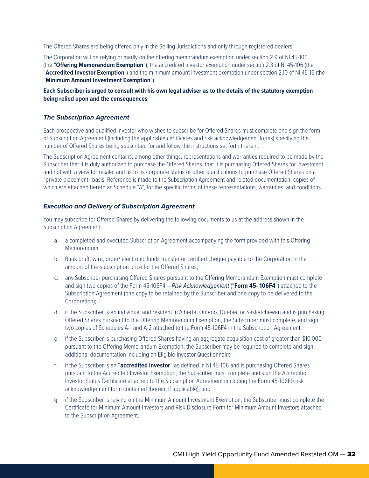The Offered Shares are being offered only in the Selling Jurisdictions and only through registered dealers.

The Corporation will be relying primarily on the offering memorandum exemption under section 2.9 of NI 45-106 (the "**Offering Memorandum Exemption**"), the accredited investor exemption under section 2.3 of NI 45-106 (the "**Accredited Investor Exemption**") and the minimum amount investment exemption under section 2.10 of NI 45-16 (the "**Minimum Amount Investment Exemption**").

#### **Each Subscriber is urged to consult with his own legal adviser as to the details of the statutory exemption being relied upon and the consequences**

#### *The Subscription Agreement*

Each prospective and qualified investor who wishes to subscribe for Offered Shares must complete and sign the form of Subscription Agreement (including the applicable certificates and risk acknowledgement forms) specifying the number of Offered Shares being subscribed for and follow the instructions set forth therein.

The Subscription Agreement contains, among other things, representations and warranties required to be made by the Subscriber that it is duly authorized to purchase the Offered Shares, that it is purchasing Offered Shares for investment and not with a view for resale, and as to its corporate status or other qualifications to purchase Offered Shares on a "private placement" basis. Reference is made to the Subscription Agreement and related documentation, copies of which are attached hereto as Schedule "A", for the specific terms of these representations, warranties, and conditions.

#### *Execution and Delivery of Subscription Agreement*

You may subscribe for Offered Shares by delivering the following documents to us at the address shown in the Subscription Agreement:

- a. a completed and executed Subscription Agreement accompanying the form provided with this Offering Memorandum;
- b. Bank draft, wire, order/ electronic funds transfer or certified cheque payable to the Corporation in the amount of the subscription price for the Offered Shares;
- c. any Subscriber purchasing Offered Shares pursuant to the Offering Memorandum Exemption must complete and sign two copies of the Form 45-106F4 – *Risk Acknowledgement* ("**Form 45- 106F4**") attached to the Subscription Agreement (one copy to be retained by the Subscriber and one copy to be delivered to the Corporation);
- d. if the Subscriber is an individual and resident in Alberta, Ontario, Québec or Saskatchewan and is purchasing Offered Shares pursuant to the Offering Memorandum Exemption, the Subscriber must complete, and sign two copies of Schedules A-1 and A-2 attached to the Form 45-106F4 in the Subscription Agreement.
- e. if the Subscriber is purchasing Offered Shares having an aggregate acquisition cost of greater than \$10,000 pursuant to the Offering Memorandum Exemption, the Subscriber may be required to complete and sign additional documentation including an Eligible Investor Questionnaire
- f. if the Subscriber is an "**accredited investor**" as defined in NI 45-106 and is purchasing Offered Shares pursuant to the Accredited Investor Exemption, the Subscriber must complete and sign the Accredited Investor Status Certificate attached to the Subscription Agreement (including the Form 45-106F9 risk acknowledgement form contained therein, if applicable); and
- g. if the Subscriber is relying on the Minimum Amount Investment Exemption, the Subscriber must complete the Certificate for Minimum Amount Investors and Risk Disclosure Form for Minimum Amount Investors attached to the Subscription Agreement.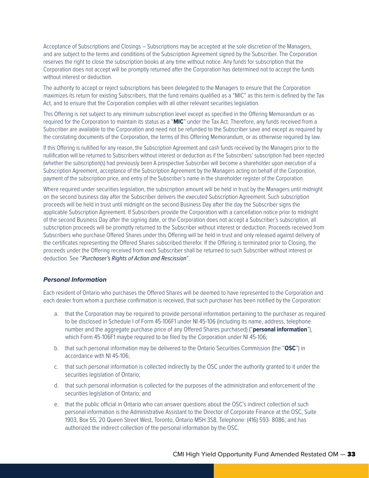Acceptance of Subscriptions and Closings – Subscriptions may be accepted at the sole discretion of the Managers, and are subject to the terms and conditions of the Subscription Agreement signed by the Subscriber. The Corporation reserves the right to close the subscription books at any time without notice. Any funds for subscription that the Corporation does not accept will be promptly returned after the Corporation has determined not to accept the funds without interest or deduction.

The authority to accept or reject subscriptions has been delegated to the Managers to ensure that the Corporation maximizes its return for existing Subscribers, that the fund remains qualified as a "MIC" as this term is defined by the Tax Act, and to ensure that the Corporation complies with all other relevant securities legislation.

This Offering is not subject to any minimum subscription level except as specified in the Offering Memorandum or as required for the Corporation to maintain its status as a "**MIC**" under the Tax Act. Therefore, any funds received from a Subscriber are available to the Corporation and need not be refunded to the Subscriber save and except as required by the constating documents of the Corporation, the terms of this Offering Memorandum, or as otherwise required by law.

If this Offering is nullified for any reason, the Subscription Agreement and cash funds received by the Managers prior to the nullification will be returned to Subscribers without interest or deduction as if the Subscribers' subscription had been rejected (whether the subscription(s) had previously been A prospective Subscriber will become a shareholder upon execution of a Subscription Agreement, acceptance of the Subscription Agreement by the Managers acting on behalf of the Corporation, payment of the subscription price, and entry of the Subscriber's name in the shareholder register of the Corporation.

Where required under securities legislation, the subscription amount will be held in trust by the Managers until midnight on the second business day after the Subscriber delivers the executed Subscription Agreement. Such subscription proceeds will be held in trust until midnight on the second Business Day after the day the Subscriber signs the applicable Subscription Agreement. If Subscribers provide the Corporation with a cancellation notice prior to midnight of the second Business Day after the signing date, or the Corporation does not accept a Subscriber's subscription, all subscription proceeds will be promptly returned to the Subscriber without interest or deduction. Proceeds received from Subscribers who purchase Offered Shares under this Offering will be held in trust and only released against delivery of the certificates representing the Offered Shares subscribed therefor. If the Offering is terminated prior to Closing, the proceeds under the Offering received from each Subscriber shall be returned to such Subscriber without interest or deduction. See "*Purchaser's Rights of Action and Rescission*".

#### *Personal Information*

Each resident of Ontario who purchases the Offered Shares will be deemed to have represented to the Corporation and each dealer from whom a purchase confirmation is received, that such purchaser has been notified by the Corporation:

- a. that the Corporation may be required to provide personal information pertaining to the purchaser as required to be disclosed in Schedule I of Form 45-106F1 under NI 45-106 (including its name, address, telephone number and the aggregate purchase price of any Offered Shares purchased) ("**personal information**"), which Form 45-106F1 maybe required to be filed by the Corporation under NI 45-106;
- b. that such personal information may be delivered to the Ontario Securities Commission (the "**OSC**") in accordance with NI 45-106;
- c. that such personal information is collected indirectly by the OSC under the authority granted to it under the securities legislation of Ontario;
- d. that such personal information is collected for the purposes of the administration and enforcement of the securities legislation of Ontario; and
- e. that the public official in Ontario who can answer questions about the OSC's indirect collection of such personal information is the Administrative Assistant to the Director of Corporate Finance at the OSC, Suite 1903, Box 55, 20 Queen Street West, Toronto, Ontario M5H 3S8, Telephone: (416) 593- 8086; and has authorized the indirect collection of the personal information by the OSC.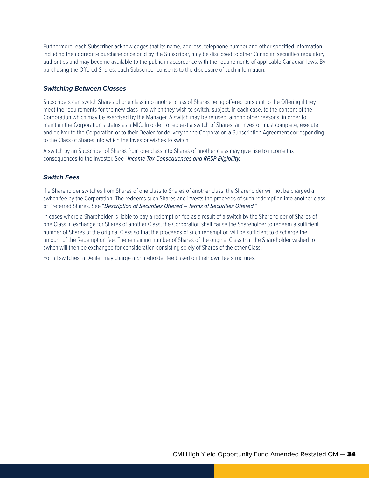Furthermore, each Subscriber acknowledges that its name, address, telephone number and other specified information, including the aggregate purchase price paid by the Subscriber, may be disclosed to other Canadian securities regulatory authorities and may become available to the public in accordance with the requirements of applicable Canadian laws. By purchasing the Offered Shares, each Subscriber consents to the disclosure of such information.

#### *Switching Between Classes*

Subscribers can switch Shares of one class into another class of Shares being offered pursuant to the Offering if they meet the requirements for the new class into which they wish to switch, subject, in each case, to the consent of the Corporation which may be exercised by the Manager. A switch may be refused, among other reasons, in order to maintain the Corporation's status as a MIC. In order to request a switch of Shares, an Investor must complete, execute and deliver to the Corporation or to their Dealer for delivery to the Corporation a Subscription Agreement corresponding to the Class of Shares into which the Investor wishes to switch.

A switch by an Subscriber of Shares from one class into Shares of another class may give rise to income tax consequences to the Investor. See "*Income Tax Consequences and RRSP Eligibility.*"

#### *Switch Fees*

If a Shareholder switches from Shares of one class to Shares of another class, the Shareholder will not be charged a switch fee by the Corporation. The redeems such Shares and invests the proceeds of such redemption into another class of Preferred Shares. See "*Description of Securities Offered – Terms of Securities Offered.*"

In cases where a Shareholder is liable to pay a redemption fee as a result of a switch by the Shareholder of Shares of one Class in exchange for Shares of another Class, the Corporation shall cause the Shareholder to redeem a sufficient number of Shares of the original Class so that the proceeds of such redemption will be sufficient to discharge the amount of the Redemption fee. The remaining number of Shares of the original Class that the Shareholder wished to switch will then be exchanged for consideration consisting solely of Shares of the other Class.

For all switches, a Dealer may charge a Shareholder fee based on their own fee structures.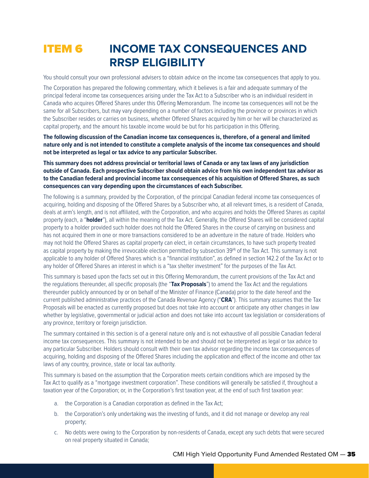## **ITEM 6 INCOME TAX CONSEQUENCES AND RRSP ELIGIBILITY**

You should consult your own professional advisers to obtain advice on the income tax consequences that apply to you.

The Corporation has prepared the following commentary, which it believes is a fair and adequate summary of the principal federal income tax consequences arising under the Tax Act to a Subscriber who is an individual resident in Canada who acquires Offered Shares under this Offering Memorandum. The income tax consequences will not be the same for all Subscribers, but may vary depending on a number of factors including the province or provinces in which the Subscriber resides or carries on business, whether Offered Shares acquired by him or her will be characterized as capital property, and the amount his taxable income would be but for his participation in this Offering.

**The following discussion of the Canadian income tax consequences is, therefore, of a general and limited nature only and is not intended to constitute a complete analysis of the income tax consequences and should not be interpreted as legal or tax advice to any particular Subscriber.**

**This summary does not address provincial or territorial laws of Canada or any tax laws of any jurisdiction outside of Canada. Each prospective Subscriber should obtain advice from his own independent tax advisor as to the Canadian federal and provincial income tax consequences of his acquisition of Offered Shares, as such consequences can vary depending upon the circumstances of each Subscriber.**

The following is a summary, provided by the Corporation, of the principal Canadian federal income tax consequences of acquiring, holding and disposing of the Offered Shares by a Subscriber who, at all relevant times, is a resident of Canada, deals at arm's length, and is not affiliated, with the Corporation, and who acquires and holds the Offered Shares as capital property (each, a "**holder**"), all within the meaning of the Tax Act. Generally, the Offered Shares will be considered capital property to a holder provided such holder does not hold the Offered Shares in the course of carrying on business and has not acquired them in one or more transactions considered to be an adventure in the nature of trade. Holders who may not hold the Offered Shares as capital property can elect, in certain circumstances, to have such property treated as capital property by making the irrevocable election permitted by subsection 39<sup>(4)</sup> of the Tax Act. This summary is not applicable to any holder of Offered Shares which is a "financial institution", as defined in section 142.2 of the Tax Act or to any holder of Offered Shares an interest in which is a "tax shelter investment" for the purposes of the Tax Act.

This summary is based upon the facts set out in this Offering Memorandum, the current provisions of the Tax Act and the regulations thereunder, all specific proposals (the "**Tax Proposals**") to amend the Tax Act and the regulations thereunder publicly announced by or on behalf of the Minister of Finance (Canada) prior to the date hereof and the current published administrative practices of the Canada Revenue Agency ("**CRA**"). This summary assumes that the Tax Proposals will be enacted as currently proposed but does not take into account or anticipate any other changes in law whether by legislative, governmental or judicial action and does not take into account tax legislation or considerations of any province, territory or foreign jurisdiction.

The summary contained in this section is of a general nature only and is not exhaustive of all possible Canadian federal income tax consequences. This summary is not intended to be and should not be interpreted as legal or tax advice to any particular Subscriber. Holders should consult with their own tax advisor regarding the income tax consequences of acquiring, holding and disposing of the Offered Shares including the application and effect of the income and other tax laws of any country, province, state or local tax authority.

This summary is based on the assumption that the Corporation meets certain conditions which are imposed by the Tax Act to qualify as a "mortgage investment corporation". These conditions will generally be satisfied if, throughout a taxation year of the Corporation; or, in the Corporation's first taxation year, at the end of such first taxation year:

- a. the Corporation is a Canadian corporation as defined in the Tax Act;
- b. the Corporation's only undertaking was the investing of funds, and it did not manage or develop any real property;
- c. No debts were owing to the Corporation by non-residents of Canada, except any such debts that were secured on real property situated in Canada;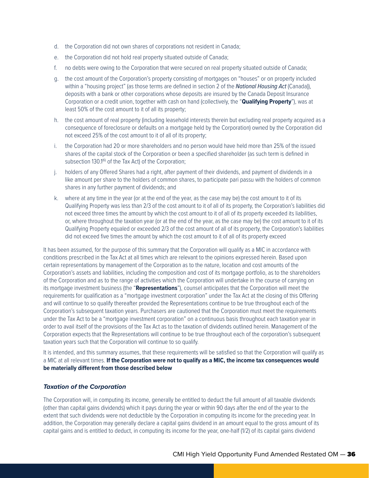- d. the Corporation did not own shares of corporations not resident in Canada;
- e. the Corporation did not hold real property situated outside of Canada;
- f. no debts were owing to the Corporation that were secured on real property situated outside of Canada;
- g. the cost amount of the Corporation's property consisting of mortgages on "houses" or on property included within a "housing project" (as those terms are defined in section 2 of the *National Housing Act* (Canada)), deposits with a bank or other corporations whose deposits are insured by the Canada Deposit Insurance Corporation or a credit union, together with cash on hand (collectively, the "**Qualifying Property**"), was at least 50% of the cost amount to it of all its property;
- h. the cost amount of real property (including leasehold interests therein but excluding real property acquired as a consequence of foreclosure or defaults on a mortgage held by the Corporation) owned by the Corporation did not exceed 25% of the cost amount to it of all of its property;
- i. the Corporation had 20 or more shareholders and no person would have held more than 25% of the issued shares of the capital stock of the Corporation or been a specified shareholder (as such term is defined in subsection 130.1<sup>(6)</sup> of the Tax Act) of the Corporation;
- j. holders of any Offered Shares had a right, after payment of their dividends, and payment of dividends in a like amount per share to the holders of common shares, to participate pari passu with the holders of common shares in any further payment of dividends; and
- k. where at any time in the year (or at the end of the year, as the case may be) the cost amount to it of its Qualifying Property was less than 2/3 of the cost amount to it of all of its property, the Corporation's liabilities did not exceed three times the amount by which the cost amount to it of all of its property exceeded its liabilities, or, where throughout the taxation year (or at the end of the year, as the case may be) the cost amount to it of its Qualifying Property equaled or exceeded 2/3 of the cost amount of all of its property, the Corporation's liabilities did not exceed five times the amount by which the cost amount to it of all of its property exceed

It has been assumed, for the purpose of this summary that the Corporation will qualify as a MIC in accordance with conditions prescribed in the Tax Act at all times which are relevant to the opinions expressed herein. Based upon certain representations by management of the Corporation as to the nature, location and cost amounts of the Corporation's assets and liabilities, including the composition and cost of its mortgage portfolio, as to the shareholders of the Corporation and as to the range of activities which the Corporation will undertake in the course of carrying on its mortgage investment business (the "**Representations**"), counsel anticipates that the Corporation will meet the requirements for qualification as a "mortgage investment corporation" under the Tax Act at the closing of this Offering and will continue to so qualify thereafter provided the Representations continue to be true throughout each of the Corporation's subsequent taxation years. Purchasers are cautioned that the Corporation must meet the requirements under the Tax Act to be a "mortgage investment corporation" on a continuous basis throughout each taxation year in order to avail itself of the provisions of the Tax Act as to the taxation of dividends outlined herein. Management of the Corporation expects that the Representations will continue to be true throughout each of the corporation's subsequent taxation years such that the Corporation will continue to so qualify.

It is intended, and this summary assumes, that these requirements will be satisfied so that the Corporation will qualify as a MIC at all relevant times. **If the Corporation were not to qualify as a MIC, the income tax consequences would be materially different from those described below** 

#### *Taxation of the Corporation*

The Corporation will, in computing its income, generally be entitled to deduct the full amount of all taxable dividends (other than capital gains dividends) which it pays during the year or within 90 days after the end of the year to the extent that such dividends were not deductible by the Corporation in computing its income for the preceding year. In addition, the Corporation may generally declare a capital gains dividend in an amount equal to the gross amount of its capital gains and is entitled to deduct, in computing its income for the year, one-half (1/2) of its capital gains dividend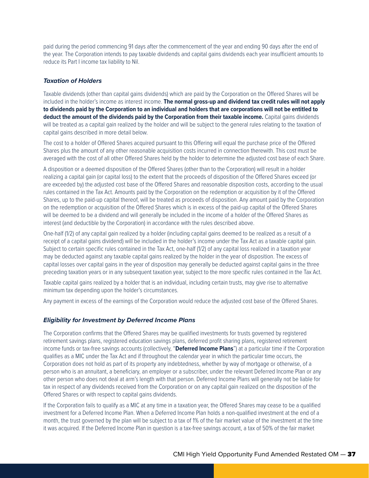paid during the period commencing 91 days after the commencement of the year and ending 90 days after the end of the year. The Corporation intends to pay taxable dividends and capital gains dividends each year insufficient amounts to reduce its Part I income tax liability to Nil.

#### *Taxation of Holders*

Taxable dividends (other than capital gains dividends) which are paid by the Corporation on the Offered Shares will be included in the holder's income as interest income. **The normal gross-up and dividend tax credit rules will not apply to dividends paid by the Corporation to an individual and holders that are corporations will not be entitled to deduct the amount of the dividends paid by the Corporation from their taxable income.** Capital gains dividends will be treated as a capital gain realized by the holder and will be subject to the general rules relating to the taxation of capital gains described in more detail below.

The cost to a holder of Offered Shares acquired pursuant to this Offering will equal the purchase price of the Offered Shares plus the amount of any other reasonable acquisition costs incurred in connection therewith. This cost must be averaged with the cost of all other Offered Shares held by the holder to determine the adjusted cost base of each Share.

A disposition or a deemed disposition of the Offered Shares (other than to the Corporation) will result in a holder realizing a capital gain (or capital loss) to the extent that the proceeds of disposition of the Offered Shares exceed (or are exceeded by) the adjusted cost base of the Offered Shares and reasonable disposition costs, according to the usual rules contained in the Tax Act. Amounts paid by the Corporation on the redemption or acquisition by it of the Offered Shares, up to the paid-up capital thereof, will be treated as proceeds of disposition. Any amount paid by the Corporation on the redemption or acquisition of the Offered Shares which is in excess of the paid-up capital of the Offered Shares will be deemed to be a dividend and will generally be included in the income of a holder of the Offered Shares as interest (and deductible by the Corporation) in accordance with the rules described above.

One-half (1/2) of any capital gain realized by a holder (including capital gains deemed to be realized as a result of a receipt of a capital gains dividend) will be included in the holder's income under the Tax Act as a taxable capital gain. Subject to certain specific rules contained in the Tax Act, one-half (1/2) of any capital loss realized in a taxation year may be deducted against any taxable capital gains realized by the holder in the year of disposition. The excess of capital losses over capital gains in the year of disposition may generally be deducted against capital gains in the three preceding taxation years or in any subsequent taxation year, subject to the more specific rules contained in the Tax Act.

Taxable capital gains realized by a holder that is an individual, including certain trusts, may give rise to alternative minimum tax depending upon the holder's circumstances.

Any payment in excess of the earnings of the Corporation would reduce the adjusted cost base of the Offered Shares.

#### *Eligibility for Investment by Deferred Income Plans*

The Corporation confirms that the Offered Shares may be qualified investments for trusts governed by registered retirement savings plans, registered education savings plans, deferred profit sharing plans, registered retirement income funds or tax-free savings accounts (collectively, "**Deferred Income Plans**") at a particular time if the Corporation qualifies as a MIC under the Tax Act and if throughout the calendar year in which the particular time occurs, the Corporation does not hold as part of its property any indebtedness, whether by way of mortgage or otherwise, of a person who is an annuitant, a beneficiary, an employer or a subscriber, under the relevant Deferred Income Plan or any other person who does not deal at arm's length with that person. Deferred Income Plans will generally not be liable for tax in respect of any dividends received from the Corporation or on any capital gain realized on the disposition of the Offered Shares or with respect to capital gains dividends.

If the Corporation fails to qualify as a MIC at any time in a taxation year, the Offered Shares may cease to be a qualified investment for a Deferred Income Plan. When a Deferred Income Plan holds a non-qualified investment at the end of a month, the trust governed by the plan will be subject to a tax of 1% of the fair market value of the investment at the time it was acquired. If the Deferred Income Plan in question is a tax-free savings account, a tax of 50% of the fair market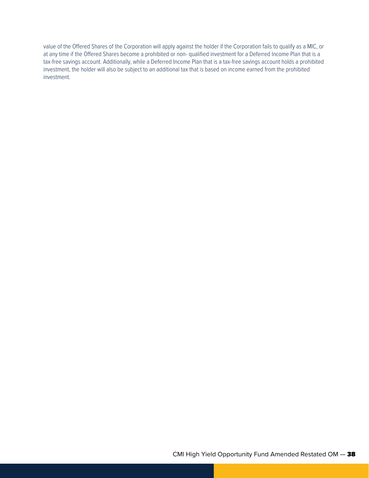value of the Offered Shares of the Corporation will apply against the holder if the Corporation fails to qualify as a MIC, or at any time if the Offered Shares become a prohibited or non- qualified investment for a Deferred Income Plan that is a tax-free savings account. Additionally, while a Deferred Income Plan that is a tax-free savings account holds a prohibited investment, the holder will also be subject to an additional tax that is based on income earned from the prohibited investment.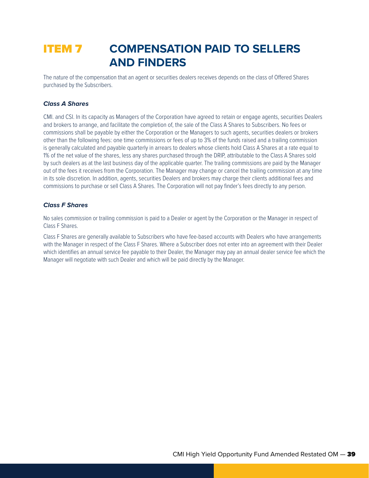## ITEM 7 **COMPENSATION PAID TO SELLERS AND FINDERS**

The nature of the compensation that an agent or securities dealers receives depends on the class of Offered Shares purchased by the Subscribers.

#### *Class A Shares*

CMI. and CSI. In its capacity as Managers of the Corporation have agreed to retain or engage agents, securities Dealers and brokers to arrange, and facilitate the completion of, the sale of the Class A Shares to Subscribers. No fees or commissions shall be payable by either the Corporation or the Managers to such agents, securities dealers or brokers other than the following fees: one time commissions or fees of up to 3% of the funds raised and a trailing commission is generally calculated and payable quarterly in arrears to dealers whose clients hold Class A Shares at a rate equal to 1% of the net value of the shares, less any shares purchased through the DRIP, attributable to the Class A Shares sold by such dealers as at the last business day of the applicable quarter. The trailing commissions are paid by the Manager out of the fees it receives from the Corporation. The Manager may change or cancel the trailing commission at any time in its sole discretion. In addition, agents, securities Dealers and brokers may charge their clients additional fees and commissions to purchase or sell Class A Shares. The Corporation will not pay finder's fees directly to any person.

#### *Class F Shares*

No sales commission or trailing commission is paid to a Dealer or agent by the Corporation or the Manager in respect of Class F Shares.

Class F Shares are generally available to Subscribers who have fee-based accounts with Dealers who have arrangements with the Manager in respect of the Class F Shares. Where a Subscriber does not enter into an agreement with their Dealer which identifies an annual service fee payable to their Dealer, the Manager may pay an annual dealer service fee which the Manager will negotiate with such Dealer and which will be paid directly by the Manager.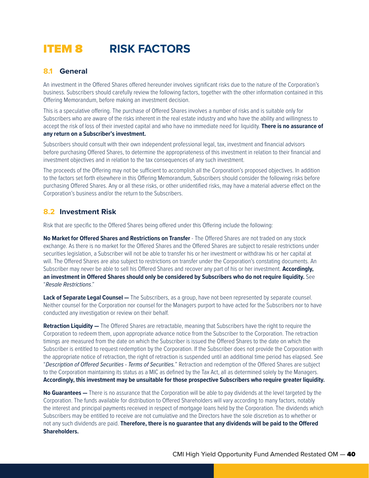## ITEM 8 **RISK FACTORS**

## **8.1 General**

An investment in the Offered Shares offered hereunder involves significant risks due to the nature of the Corporation's business. Subscribers should carefully review the following factors, together with the other information contained in this Offering Memorandum, before making an investment decision.

This is a speculative offering. The purchase of Offered Shares involves a number of risks and is suitable only for Subscribers who are aware of the risks inherent in the real estate industry and who have the ability and willingness to accept the risk of loss of their invested capital and who have no immediate need for liquidity. **There is no assurance of any return on a Subscriber's investment.**

Subscribers should consult with their own independent professional legal, tax, investment and financial advisors before purchasing Offered Shares, to determine the appropriateness of this investment in relation to their financial and investment objectives and in relation to the tax consequences of any such investment.

The proceeds of the Offering may not be sufficient to accomplish all the Corporation's proposed objectives. In addition to the factors set forth elsewhere in this Offering Memorandum, Subscribers should consider the following risks before purchasing Offered Shares. Any or all these risks, or other unidentified risks, may have a material adverse effect on the Corporation's business and/or the return to the Subscribers.

## **8.2 Investment Risk**

Risk that are specific to the Offered Shares being offered under this Offering include the following:

**No Market for Offered Shares and Restrictions on Transfer** - The Offered Shares are not traded on any stock exchange. As there is no market for the Offered Shares and the Offered Shares are subject to resale restrictions under securities legislation, a Subscriber will not be able to transfer his or her investment or withdraw his or her capital at will. The Offered Shares are also subject to restrictions on transfer under the Corporation's constating documents. An Subscriber may never be able to sell his Offered Shares and recover any part of his or her investment. **Accordingly, an investment in Offered Shares should only be considered by Subscribers who do not require liquidity.** See "*Resale Restrictions*."

**Lack of Separate Legal Counsel —** The Subscribers, as a group, have not been represented by separate counsel. Neither counsel for the Corporation nor counsel for the Managers purport to have acted for the Subscribers nor to have conducted any investigation or review on their behalf.

**Retraction Liquidity —** The Offered Shares are retractable, meaning that Subscribers have the right to require the Corporation to redeem them, upon appropriate advance notice from the Subscriber to the Corporation. The retraction timings are measured from the date on which the Subscriber is issued the Offered Shares to the date on which the Subscriber is entitled to request redemption by the Corporation. If the Subscriber does not provide the Corporation with the appropriate notice of retraction, the right of retraction is suspended until an additional time period has elapsed. See "*Description of Offered Securities - Terms of Securities.*" Retraction and redemption of the Offered Shares are subject to the Corporation maintaining its status as a MIC as defined by the Tax Act, all as determined solely by the Managers. **Accordingly, this investment may be unsuitable for those prospective Subscribers who require greater liquidity.**

**No Guarantees —** There is no assurance that the Corporation will be able to pay dividends at the level targeted by the Corporation. The funds available for distribution to Offered Shareholders will vary according to many factors, notably the interest and principal payments received in respect of mortgage loans held by the Corporation. The dividends which Subscribers may be entitled to receive are not cumulative and the Directors have the sole discretion as to whether or not any such dividends are paid. **Therefore, there is no guarantee that any dividends will be paid to the Offered Shareholders.**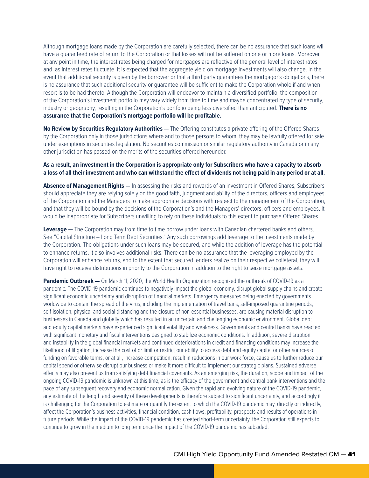Although mortgage loans made by the Corporation are carefully selected, there can be no assurance that such loans will have a guaranteed rate of return to the Corporation or that losses will not be suffered on one or more loans. Moreover, at any point in time, the interest rates being charged for mortgages are reflective of the general level of interest rates and, as interest rates fluctuate, it is expected that the aggregate yield on mortgage investments will also change. In the event that additional security is given by the borrower or that a third party guarantees the mortgagor's obligations, there is no assurance that such additional security or guarantee will be sufficient to make the Corporation whole if and when resort is to be had thereto. Although the Corporation will endeavor to maintain a diversified portfolio, the composition of the Corporation's investment portfolio may vary widely from time to time and maybe concentrated by type of security, industry or geography, resulting in the Corporation's portfolio being less diversified than anticipated. **There is no assurance that the Corporation's mortgage portfolio will be profitable.**

**No Review by Securities Regulatory Authorities —** The Offering constitutes a private offering of the Offered Shares by the Corporation only in those jurisdictions where and to those persons to whom, they may be lawfully offered for sale under exemptions in securities legislation. No securities commission or similar regulatory authority in Canada or in any other jurisdiction has passed on the merits of the securities offered hereunder.

#### **As a result, an investment in the Corporation is appropriate only for Subscribers who have a capacity to absorb a loss of all their investment and who can withstand the effect of dividends not being paid in any period or at all.**

**Absence of Management Rights —** In assessing the risks and rewards of an investment in Offered Shares, Subscribers should appreciate they are relying solely on the good faith, judgment and ability of the directors, officers and employees of the Corporation and the Managers to make appropriate decisions with respect to the management of the Corporation, and that they will be bound by the decisions of the Corporation's and the Managers' directors, officers and employees. It would be inappropriate for Subscribers unwilling to rely on these individuals to this extent to purchase Offered Shares.

**Leverage —** The Corporation may from time to time borrow under loans with Canadian chartered banks and others. See "Capital Structure – Long Term Debt Securities." Any such borrowings add leverage to the investments made by the Corporation. The obligations under such loans may be secured, and while the addition of leverage has the potential to enhance returns, it also involves additional risks. There can be no assurance that the leveraging employed by the Corporation will enhance returns, and to the extent that secured lenders realize on their respective collateral, they will have right to receive distributions in priority to the Corporation in addition to the right to seize mortgage assets.

Pandemic Outbreak — On March 11, 2020, the World Health Organization recognized the outbreak of COVID-19 as a pandemic. The COVID-19 pandemic continues to negatively impact the global economy, disrupt global supply chains and create significant economic uncertainty and disruption of financial markets. Emergency measures being enacted by governments worldwide to contain the spread of the virus, including the implementation of travel bans, self-imposed quarantine periods, self-isolation, physical and social distancing and the closure of non-essential businesses, are causing material disruption to businesses in Canada and globally which has resulted in an uncertain and challenging economic environment. Global debt and equity capital markets have experienced significant volatility and weakness. Governments and central banks have reacted with significant monetary and fiscal interventions designed to stabilize economic conditions. In addition, severe disruption and instability in the global financial markets and continued deteriorations in credit and financing conditions may increase the likelihood of litigation, increase the cost of or limit or restrict our ability to access debt and equity capital or other sources of funding on favorable terms, or at all, increase competition, result in reductions in our work force, cause us to further reduce our capital spend or otherwise disrupt our business or make it more difficult to implement our strategic plans. Sustained adverse effects may also prevent us from satisfying debt financial covenants. As an emerging risk, the duration, scope and impact of the ongoing COVID-19 pandemic is unknown at this time, as is the efficacy of the government and central bank interventions and the pace of any subsequent recovery and economic normalization. Given the rapid and evolving nature of the COVID-19 pandemic, any estimate of the length and severity of these developments is therefore subject to significant uncertainty, and accordingly it is challenging for the Corporation to estimate or quantify the extent to which the COVID-19 pandemic may, directly or indirectly, affect the Corporation's business activities, financial condition, cash flows, profitability, prospects and results of operations in future periods. While the impact of the COVID-19 pandemic has created short-term uncertainty, the Corporation still expects to continue to grow in the medium to long term once the impact of the COVID-19 pandemic has subsided.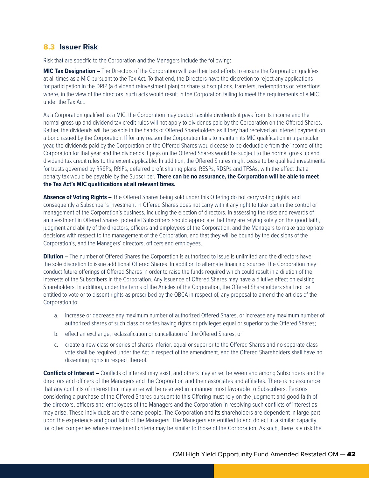### **8.3 Issuer Risk**

Risk that are specific to the Corporation and the Managers include the following:

**MIC Tax Designation –** The Directors of the Corporation will use their best efforts to ensure the Corporation qualifies at all times as a MIC pursuant to the Tax Act. To that end, the Directors have the discretion to reject any applications for participation in the DRIP (a dividend reinvestment plan) or share subscriptions, transfers, redemptions or retractions where, in the view of the directors, such acts would result in the Corporation failing to meet the requirements of a MIC under the Tax Act.

As a Corporation qualified as a MIC, the Corporation may deduct taxable dividends it pays from its income and the normal gross up and dividend tax credit rules will not apply to dividends paid by the Corporation on the Offered Shares. Rather, the dividends will be taxable in the hands of Offered Shareholders as if they had received an interest payment on a bond issued by the Corporation. If for any reason the Corporation fails to maintain its MIC qualification in a particular year, the dividends paid by the Corporation on the Offered Shares would cease to be deductible from the income of the Corporation for that year and the dividends it pays on the Offered Shares would be subject to the normal gross up and dividend tax credit rules to the extent applicable. In addition, the Offered Shares might cease to be qualified investments for trusts governed by RRSPs, RRIFs, deferred profit sharing plans, RESPs, RDSPs and TFSAs, with the effect that a penalty tax would be payable by the Subscriber. **There can be no assurance, the Corporation will be able to meet the Tax Act's MIC qualifications at all relevant times.**

**Absence of Voting Rights –** The Offered Shares being sold under this Offering do not carry voting rights, and consequently a Subscriber's investment in Offered Shares does not carry with it any right to take part in the control or management of the Corporation's business, including the election of directors. In assessing the risks and rewards of an investment in Offered Shares, potential Subscribers should appreciate that they are relying solely on the good faith, judgment and ability of the directors, officers and employees of the Corporation, and the Managers to make appropriate decisions with respect to the management of the Corporation, and that they will be bound by the decisions of the Corporation's, and the Managers' directors, officers and employees.

**Dilution –** The number of Offered Shares the Corporation is authorized to issue is unlimited and the directors have the sole discretion to issue additional Offered Shares. In addition to alternate financing sources, the Corporation may conduct future offerings of Offered Shares in order to raise the funds required which could result in a dilution of the interests of the Subscribers in the Corporation. Any issuance of Offered Shares may have a dilutive effect on existing Shareholders. In addition, under the terms of the Articles of the Corporation, the Offered Shareholders shall not be entitled to vote or to dissent rights as prescribed by the OBCA in respect of, any proposal to amend the articles of the Corporation to:

- a. increase or decrease any maximum number of authorized Offered Shares, or increase any maximum number of authorized shares of such class or series having rights or privileges equal or superior to the Offered Shares;
- b. effect an exchange, reclassification or cancellation of the Offered Shares; or
- c. create a new class or series of shares inferior, equal or superior to the Offered Shares and no separate class vote shall be required under the Act in respect of the amendment, and the Offered Shareholders shall have no dissenting rights in respect thereof.

**Conflicts of Interest –** Conflicts of interest may exist, and others may arise, between and among Subscribers and the directors and officers of the Managers and the Corporation and their associates and affiliates. There is no assurance that any conflicts of interest that may arise will be resolved in a manner most favorable to Subscribers. Persons considering a purchase of the Offered Shares pursuant to this Offering must rely on the judgment and good faith of the directors, officers and employees of the Managers and the Corporation in resolving such conflicts of interest as may arise. These individuals are the same people. The Corporation and its shareholders are dependent in large part upon the experience and good faith of the Managers. The Managers are entitled to and do act in a similar capacity for other companies whose investment criteria may be similar to those of the Corporation. As such, there is a risk the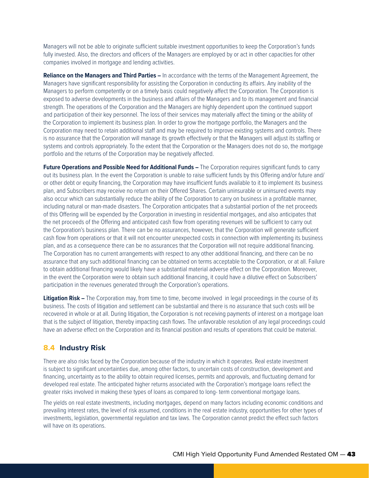Managers will not be able to originate sufficient suitable investment opportunities to keep the Corporation's funds fully invested. Also, the directors and officers of the Managers are employed by or act in other capacities for other companies involved in mortgage and lending activities.

**Reliance on the Managers and Third Parties –** In accordance with the terms of the Management Agreement, the Managers have significant responsibility for assisting the Corporation in conducting its affairs. Any inability of the Managers to perform competently or on a timely basis could negatively affect the Corporation. The Corporation is exposed to adverse developments in the business and affairs of the Managers and to its management and financial strength. The operations of the Corporation and the Managers are highly dependent upon the continued support and participation of their key personnel. The loss of their services may materially affect the timing or the ability of the Corporation to implement its business plan. In order to grow the mortgage portfolio, the Managers and the Corporation may need to retain additional staff and may be required to improve existing systems and controls. There is no assurance that the Corporation will manage its growth effectively or that the Managers will adjust its staffing or systems and controls appropriately. To the extent that the Corporation or the Managers does not do so, the mortgage portfolio and the returns of the Corporation may be negatively affected.

**Future Operations and Possible Need for Additional Funds –** The Corporation requires significant funds to carry out its business plan. In the event the Corporation is unable to raise sufficient funds by this Offering and/or future and/ or other debt or equity financing, the Corporation may have insufficient funds available to it to implement its business plan, and Subscribers may receive no return on their Offered Shares. Certain uninsurable or uninsured events may also occur which can substantially reduce the ability of the Corporation to carry on business in a profitable manner, including natural or man-made disasters. The Corporation anticipates that a substantial portion of the net proceeds of this Offering will be expended by the Corporation in investing in residential mortgages, and also anticipates that the net proceeds of the Offering and anticipated cash flow from operating revenues will be sufficient to carry out the Corporation's business plan. There can be no assurances, however, that the Corporation will generate sufficient cash flow from operations or that it will not encounter unexpected costs in connection with implementing its business plan, and as a consequence there can be no assurances that the Corporation will not require additional financing. The Corporation has no current arrangements with respect to any other additional financing, and there can be no assurance that any such additional financing can be obtained on terms acceptable to the Corporation, or at all. Failure to obtain additional financing would likely have a substantial material adverse effect on the Corporation. Moreover, in the event the Corporation were to obtain such additional financing, it could have a dilutive effect on Subscribers' participation in the revenues generated through the Corporation's operations.

**Litigation Risk –** The Corporation may, from time to time, become involved in legal proceedings in the course of its business. The costs of litigation and settlement can be substantial and there is no assurance that such costs will be recovered in whole or at all. During litigation, the Corporation is not receiving payments of interest on a mortgage loan that is the subject of litigation, thereby impacting cash flows. The unfavorable resolution of any legal proceedings could have an adverse effect on the Corporation and its financial position and results of operations that could be material.

## **8.4 Industry Risk**

There are also risks faced by the Corporation because of the industry in which it operates. Real estate investment is subject to significant uncertainties due, among other factors, to uncertain costs of construction, development and financing, uncertainty as to the ability to obtain required licenses, permits and approvals, and fluctuating demand for developed real estate. The anticipated higher returns associated with the Corporation's mortgage loans reflect the greater risks involved in making these types of loans as compared to long- term conventional mortgage loans.

The yields on real estate investments, including mortgages, depend on many factors including economic conditions and prevailing interest rates, the level of risk assumed, conditions in the real estate industry, opportunities for other types of investments, legislation, governmental regulation and tax laws. The Corporation cannot predict the effect such factors will have on its operations.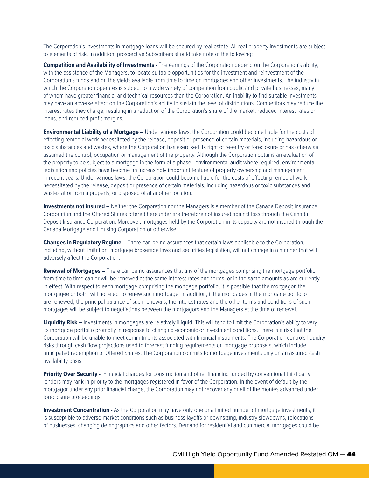The Corporation's investments in mortgage loans will be secured by real estate. All real property investments are subject to elements of risk. In addition, prospective Subscribers should take note of the following:

**Competition and Availability of Investments -** The earnings of the Corporation depend on the Corporation's ability, with the assistance of the Managers, to locate suitable opportunities for the investment and reinvestment of the Corporation's funds and on the yields available from time to time on mortgages and other investments. The industry in which the Corporation operates is subject to a wide variety of competition from public and private businesses, many of whom have greater financial and technical resources than the Corporation. An inability to find suitable investments may have an adverse effect on the Corporation's ability to sustain the level of distributions. Competitors may reduce the interest rates they charge, resulting in a reduction of the Corporation's share of the market, reduced interest rates on loans, and reduced profit margins.

**Environmental Liability of a Mortgage –** Under various laws, the Corporation could become liable for the costs of effecting remedial work necessitated by the release, deposit or presence of certain materials, including hazardous or toxic substances and wastes, where the Corporation has exercised its right of re-entry or foreclosure or has otherwise assumed the control, occupation or management of the property. Although the Corporation obtains an evaluation of the property to be subject to a mortgage in the form of a phase I environmental audit where required, environmental legislation and policies have become an increasingly important feature of property ownership and management in recent years. Under various laws, the Corporation could become liable for the costs of effecting remedial work necessitated by the release, deposit or presence of certain materials, including hazardous or toxic substances and wastes at or from a property, or disposed of at another location.

**Investments not insured –** Neither the Corporation nor the Managers is a member of the Canada Deposit Insurance Corporation and the Offered Shares offered hereunder are therefore not insured against loss through the Canada Deposit Insurance Corporation. Moreover, mortgages held by the Corporation in its capacity are not insured through the Canada Mortgage and Housing Corporation or otherwise.

**Changes in Regulatory Regime –** There can be no assurances that certain laws applicable to the Corporation, including, without limitation, mortgage brokerage laws and securities legislation, will not change in a manner that will adversely affect the Corporation.

**Renewal of Mortgages –** There can be no assurances that any of the mortgages comprising the mortgage portfolio from time to time can or will be renewed at the same interest rates and terms, or in the same amounts as are currently in effect. With respect to each mortgage comprising the mortgage portfolio, it is possible that the mortgagor, the mortgagee or both, will not elect to renew such mortgage. In addition, if the mortgages in the mortgage portfolio are renewed, the principal balance of such renewals, the interest rates and the other terms and conditions of such mortgages will be subject to negotiations between the mortgagors and the Managers at the time of renewal.

**Liquidity Risk –** Investments in mortgages are relatively illiquid. This will tend to limit the Corporation's ability to vary its mortgage portfolio promptly in response to changing economic or investment conditions. There is a risk that the Corporation will be unable to meet commitments associated with financial instruments. The Corporation controls liquidity risks through cash flow projections used to forecast funding requirements on mortgage proposals, which include anticipated redemption of Offered Shares. The Corporation commits to mortgage investments only on an assured cash availability basis.

**Priority Over Security -** Financial charges for construction and other financing funded by conventional third party lenders may rank in priority to the mortgages registered in favor of the Corporation. In the event of default by the mortgagor under any prior financial charge, the Corporation may not recover any or all of the monies advanced under foreclosure proceedings.

**Investment Concentration -** As the Corporation may have only one or a limited number of mortgage investments, it is susceptible to adverse market conditions such as business layoffs or downsizing, industry slowdowns, relocations of businesses, changing demographics and other factors. Demand for residential and commercial mortgages could be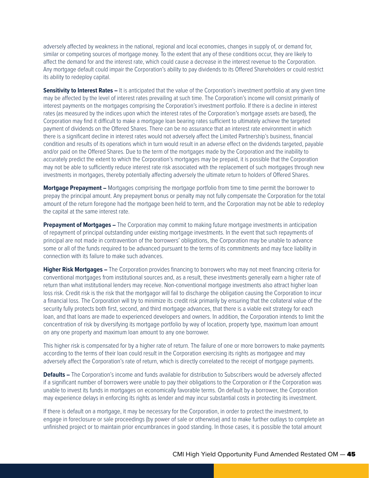adversely affected by weakness in the national, regional and local economies, changes in supply of, or demand for, similar or competing sources of mortgage money. To the extent that any of these conditions occur, they are likely to affect the demand for and the interest rate, which could cause a decrease in the interest revenue to the Corporation. Any mortgage default could impair the Corporation's ability to pay dividends to its Offered Shareholders or could restrict its ability to redeploy capital.

**Sensitivity to Interest Rates –** It is anticipated that the value of the Corporation's investment portfolio at any given time may be affected by the level of interest rates prevailing at such time. The Corporation's income will consist primarily of interest payments on the mortgages comprising the Corporation's investment portfolio. If there is a decline in interest rates (as measured by the indices upon which the interest rates of the Corporation's mortgage assets are based), the Corporation may find it difficult to make a mortgage loan bearing rates sufficient to ultimately achieve the targeted payment of dividends on the Offered Shares. There can be no assurance that an interest rate environment in which there is a significant decline in interest rates would not adversely affect the Limited Partnership's business, financial condition and results of its operations which in turn would result in an adverse effect on the dividends targeted, payable and/or paid on the Offered Shares. Due to the term of the mortgages made by the Corporation and the inability to accurately predict the extent to which the Corporation's mortgages may be prepaid, it is possible that the Corporation may not be able to sufficiently reduce interest rate risk associated with the replacement of such mortgages through new investments in mortgages, thereby potentially affecting adversely the ultimate return to holders of Offered Shares.

**Mortgage Prepayment –** Mortgages comprising the mortgage portfolio from time to time permit the borrower to prepay the principal amount. Any prepayment bonus or penalty may not fully compensate the Corporation for the total amount of the return foregone had the mortgage been held to term, and the Corporation may not be able to redeploy the capital at the same interest rate.

**Prepayment of Mortgages –** The Corporation may commit to making future mortgage investments in anticipation of repayment of principal outstanding under existing mortgage investments. In the event that such repayments of principal are not made in contravention of the borrowers' obligations, the Corporation may be unable to advance some or all of the funds required to be advanced pursuant to the terms of its commitments and may face liability in connection with its failure to make such advances.

**Higher Risk Mortgages –** The Corporation provides financing to borrowers who may not meet financing criteria for conventional mortgages from institutional sources and, as a result, these investments generally earn a higher rate of return than what institutional lenders may receive. Non-conventional mortgage investments also attract higher loan loss risk. Credit risk is the risk that the mortgagor will fail to discharge the obligation causing the Corporation to incur a financial loss. The Corporation will try to minimize its credit risk primarily by ensuring that the collateral value of the security fully protects both first, second, and third mortgage advances, that there is a viable exit strategy for each loan, and that loans are made to experienced developers and owners. In addition, the Corporation intends to limit the concentration of risk by diversifying its mortgage portfolio by way of location, property type, maximum loan amount on any one property and maximum loan amount to any one borrower.

This higher risk is compensated for by a higher rate of return. The failure of one or more borrowers to make payments according to the terms of their loan could result in the Corporation exercising its rights as mortgagee and may adversely affect the Corporation's rate of return, which is directly correlated to the receipt of mortgage payments.

**Defaults –** The Corporation's income and funds available for distribution to Subscribers would be adversely affected if a significant number of borrowers were unable to pay their obligations to the Corporation or if the Corporation was unable to invest its funds in mortgages on economically favorable terms. On default by a borrower, the Corporation may experience delays in enforcing its rights as lender and may incur substantial costs in protecting its investment.

If there is default on a mortgage, it may be necessary for the Corporation, in order to protect the investment, to engage in foreclosure or sale proceedings (by power of sale or otherwise) and to make further outlays to complete an unfinished project or to maintain prior encumbrances in good standing. In those cases, it is possible the total amount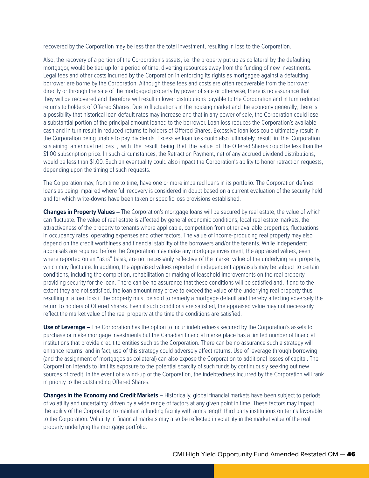recovered by the Corporation may be less than the total investment, resulting in loss to the Corporation.

Also, the recovery of a portion of the Corporation's assets, i.e. the property put up as collateral by the defaulting mortgagor, would be tied up for a period of time, diverting resources away from the funding of new investments. Legal fees and other costs incurred by the Corporation in enforcing its rights as mortgagee against a defaulting borrower are borne by the Corporation. Although these fees and costs are often recoverable from the borrower directly or through the sale of the mortgaged property by power of sale or otherwise, there is no assurance that they will be recovered and therefore will result in lower distributions payable to the Corporation and in turn reduced returns to holders of Offered Shares. Due to fluctuations in the housing market and the economy generally, there is a possibility that historical loan default rates may increase and that in any power of sale, the Corporation could lose a substantial portion of the principal amount loaned to the borrower. Loan loss reduces the Corporation's available cash and in turn result in reduced returns to holders of Offered Shares. Excessive loan loss could ultimately result in the Corporation being unable to pay dividends. Excessive loan loss could also ultimately result in the Corporation sustaining an annual net loss , with the result being that the value of the Offered Shares could be less than the \$1.00 subscription price. In such circumstances, the Retraction Payment, net of any accrued dividend distributions, would be less than \$1.00. Such an eventuality could also impact the Corporation's ability to honor retraction requests, depending upon the timing of such requests.

The Corporation may, from time to time, have one or more impaired loans in its portfolio. The Corporation defines loans as being impaired where full recovery is considered in doubt based on a current evaluation of the security held and for which write-downs have been taken or specific loss provisions established.

**Changes in Property Values –** The Corporation's mortgage loans will be secured by real estate, the value of which can fluctuate. The value of real estate is affected by general economic conditions, local real estate markets, the attractiveness of the property to tenants where applicable, competition from other available properties, fluctuations in occupancy rates, operating expenses and other factors. The value of income-producing real property may also depend on the credit worthiness and financial stability of the borrowers and/or the tenants. While independent appraisals are required before the Corporation may make any mortgage investment, the appraised values, even where reported on an "as is" basis, are not necessarily reflective of the market value of the underlying real property, which may fluctuate. In addition, the appraised values reported in independent appraisals may be subject to certain conditions, including the completion, rehabilitation or making of leasehold improvements on the real property providing security for the loan. There can be no assurance that these conditions will be satisfied and, if and to the extent they are not satisfied, the loan amount may prove to exceed the value of the underlying real property thus resulting in a loan loss if the property must be sold to remedy a mortgage default and thereby affecting adversely the return to holders of Offered Shares. Even if such conditions are satisfied, the appraised value may not necessarily reflect the market value of the real property at the time the conditions are satisfied.

**Use of Leverage –** The Corporation has the option to incur indebtedness secured by the Corporation's assets to purchase or make mortgage investments but the Canadian financial marketplace has a limited number of financial institutions that provide credit to entities such as the Corporation. There can be no assurance such a strategy will enhance returns, and in fact, use of this strategy could adversely affect returns. Use of leverage through borrowing (and the assignment of mortgages as collateral) can also expose the Corporation to additional losses of capital. The Corporation intends to limit its exposure to the potential scarcity of such funds by continuously seeking out new sources of credit. In the event of a wind-up of the Corporation, the indebtedness incurred by the Corporation will rank in priority to the outstanding Offered Shares.

**Changes in the Economy and Credit Markets –** Historically, global financial markets have been subject to periods of volatility and uncertainty, driven by a wide range of factors at any given point in time. These factors may impact the ability of the Corporation to maintain a funding facility with arm's length third party institutions on terms favorable to the Corporation. Volatility in financial markets may also be reflected in volatility in the market value of the real property underlying the mortgage portfolio.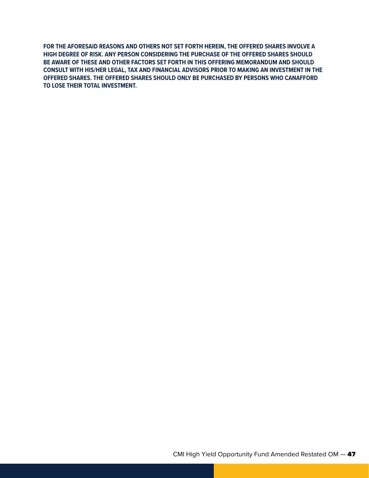**FOR THE AFORESAID REASONS AND OTHERS NOT SET FORTH HEREIN, THE OFFERED SHARES INVOLVE A HIGH DEGREE OF RISK. ANY PERSON CONSIDERING THE PURCHASE OF THE OFFERED SHARES SHOULD BE AWARE OF THESE AND OTHER FACTORS SET FORTH IN THIS OFFERING MEMORANDUM AND SHOULD CONSULT WITH HIS/HER LEGAL, TAX AND FINANCIAL ADVISORS PRIOR TO MAKING AN INVESTMENT IN THE OFFERED SHARES. THE OFFERED SHARES SHOULD ONLY BE PURCHASED BY PERSONS WHO CANAFFORD TO LOSE THEIR TOTAL INVESTMENT.**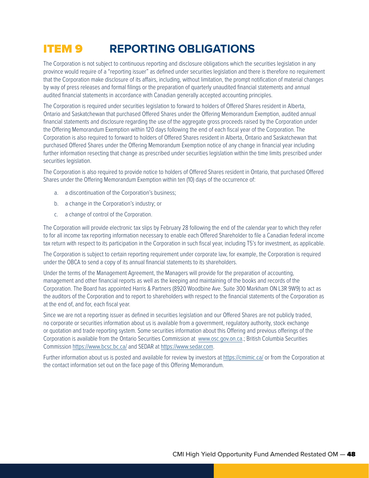## ITEM 9 **REPORTING OBLIGATIONS**

The Corporation is not subject to continuous reporting and disclosure obligations which the securities legislation in any province would require of a "reporting issuer" as defined under securities legislation and there is therefore no requirement that the Corporation make disclosure of its affairs, including, without limitation, the prompt notification of material changes by way of press releases and formal filings or the preparation of quarterly unaudited financial statements and annual audited financial statements in accordance with Canadian generally accepted accounting principles.

The Corporation is required under securities legislation to forward to holders of Offered Shares resident in Alberta, Ontario and Saskatchewan that purchased Offered Shares under the Offering Memorandum Exemption, audited annual financial statements and disclosure regarding the use of the aggregate gross proceeds raised by the Corporation under the Offering Memorandum Exemption within 120 days following the end of each fiscal year of the Corporation. The Corporation is also required to forward to holders of Offered Shares resident in Alberta, Ontario and Saskatchewan that purchased Offered Shares under the Offering Memorandum Exemption notice of any change in financial year including further information resecting that change as prescribed under securities legislation within the time limits prescribed under securities legislation.

The Corporation is also required to provide notice to holders of Offered Shares resident in Ontario, that purchased Offered Shares under the Offering Memorandum Exemption within ten (10) days of the occurrence of:

- a. a discontinuation of the Corporation's business;
- b. a change in the Corporation's industry; or
- c. a change of control of the Corporation.

The Corporation will provide electronic tax slips by February 28 following the end of the calendar year to which they refer to for all income tax reporting information necessary to enable each Offered Shareholder to file a Canadian federal income tax return with respect to its participation in the Corporation in such fiscal year, including T5's for investment, as applicable.

The Corporation is subject to certain reporting requirement under corporate law, for example, the Corporation is required under the OBCA to send a copy of its annual financial statements to its shareholders.

Under the terms of the Management Agreement, the Managers will provide for the preparation of accounting, management and other financial reports as well as the keeping and maintaining of the books and records of the Corporation. The Board has appointed Harris & Partners (8920 Woodbine Ave. Suite 300 Markham ON L3R 9W9) to act as the auditors of the Corporation and to report to shareholders with respect to the financial statements of the Corporation as at the end of, and for, each fiscal year.

Since we are not a reporting issuer as defined in securities legislation and our Offered Shares are not publicly traded, no corporate or securities information about us is available from a government, regulatory authority, stock exchange or quotation and trade reporting system. Some securities information about this Offering and previous offerings of the Corporation is available from the Ontario Securities Commission at <www.osc.gov.on.ca>.; British Columbia Securities Commission <https://www.bcsc.bc.ca/>and SEDAR at [https://www.sedar.com.](https://www.sedar.com)

Further information about us is posted and available for review by investors at <https://cmimic.ca/>or from the Corporation at the contact information set out on the face page of this Offering Memorandum.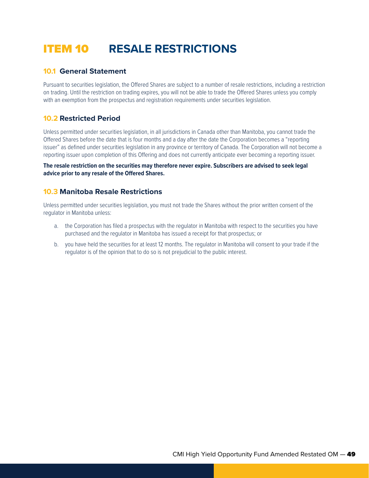## ITEM 10 **RESALE RESTRICTIONS**

## **10.1 General Statement**

Pursuant to securities legislation, the Offered Shares are subject to a number of resale restrictions, including a restriction on trading. Until the restriction on trading expires, you will not be able to trade the Offered Shares unless you comply with an exemption from the prospectus and registration requirements under securities legislation.

## **10.2 Restricted Period**

Unless permitted under securities legislation, in all jurisdictions in Canada other than Manitoba, you cannot trade the Offered Shares before the date that is four months and a day after the date the Corporation becomes a "reporting issuer" as defined under securities legislation in any province or territory of Canada. The Corporation will not become a reporting issuer upon completion of this Offering and does not currently anticipate ever becoming a reporting issuer.

**The resale restriction on the securities may therefore never expire. Subscribers are advised to seek legal advice prior to any resale of the Offered Shares.**

## **10.3 Manitoba Resale Restrictions**

Unless permitted under securities legislation, you must not trade the Shares without the prior written consent of the regulator in Manitoba unless:

- a. the Corporation has filed a prospectus with the regulator in Manitoba with respect to the securities you have purchased and the regulator in Manitoba has issued a receipt for that prospectus; or
- b. you have held the securities for at least 12 months. The regulator in Manitoba will consent to your trade if the regulator is of the opinion that to do so is not prejudicial to the public interest.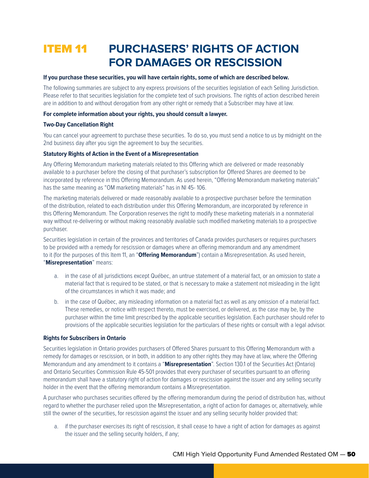## **ITEM 11 PURCHASERS' RIGHTS OF ACTION FOR DAMAGES OR RESCISSION**

#### **If you purchase these securities, you will have certain rights, some of which are described below.**

The following summaries are subject to any express provisions of the securities legislation of each Selling Jurisdiction. Please refer to that securities legislation for the complete text of such provisions. The rights of action described herein are in addition to and without derogation from any other right or remedy that a Subscriber may have at law.

#### **For complete information about your rights, you should consult a lawyer.**

#### **Two-Day Cancellation Right**

You can cancel your agreement to purchase these securities. To do so, you must send a notice to us by midnight on the 2nd business day after you sign the agreement to buy the securities.

#### **Statutory Rights of Action in the Event of a Misrepresentation**

Any Offering Memorandum marketing materials related to this Offering which are delivered or made reasonably available to a purchaser before the closing of that purchaser's subscription for Offered Shares are deemed to be incorporated by reference in this Offering Memorandum. As used herein, "Offering Memorandum marketing materials" has the same meaning as "OM marketing materials" has in NI 45- 106.

The marketing materials delivered or made reasonably available to a prospective purchaser before the termination of the distribution, related to each distribution under this Offering Memorandum, are incorporated by reference in this Offering Memorandum. The Corporation reserves the right to modify these marketing materials in a nonmaterial way without re-delivering or without making reasonably available such modified marketing materials to a prospective purchaser.

Securities legislation in certain of the provinces and territories of Canada provides purchasers or requires purchasers to be provided with a remedy for rescission or damages where an offering memorandum and any amendment to it (for the purposes of this Item 11, an "**Offering Memorandum**") contain a Misrepresentation. As used herein, "**Misrepresentation**" means:

- a. in the case of all jurisdictions except Québec, an untrue statement of a material fact, or an omission to state a material fact that is required to be stated, or that is necessary to make a statement not misleading in the light of the circumstances in which it was made; and
- b. in the case of Québec, any misleading information on a material fact as well as any omission of a material fact. These remedies, or notice with respect thereto, must be exercised, or delivered, as the case may be, by the purchaser within the time limit prescribed by the applicable securities legislation. Each purchaser should refer to provisions of the applicable securities legislation for the particulars of these rights or consult with a legal advisor.

#### **Rights for Subscribers in Ontario**

Securities legislation in Ontario provides purchasers of Offered Shares pursuant to this Offering Memorandum with a remedy for damages or rescission, or in both, in addition to any other rights they may have at law, where the Offering Memorandum and any amendment to it contains a "**Misrepresentation**". Section 130.1 of the Securities Act (Ontario) and Ontario Securities Commission Rule 45-501 provides that every purchaser of securities pursuant to an offering memorandum shall have a statutory right of action for damages or rescission against the issuer and any selling security holder in the event that the offering memorandum contains a Misrepresentation.

A purchaser who purchases securities offered by the offering memorandum during the period of distribution has, without regard to whether the purchaser relied upon the Misrepresentation, a right of action for damages or, alternatively, while still the owner of the securities, for rescission against the issuer and any selling security holder provided that:

a. if the purchaser exercises its right of rescission, it shall cease to have a right of action for damages as against the issuer and the selling security holders, if any;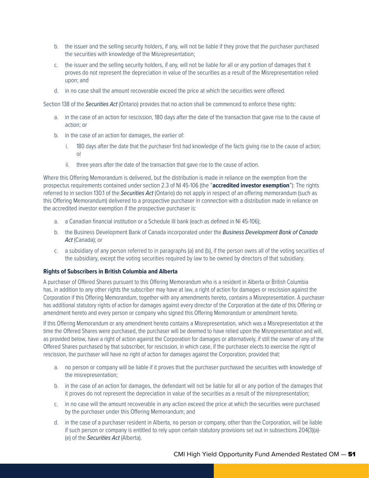- b. the issuer and the selling security holders, if any, will not be liable if they prove that the purchaser purchased the securities with knowledge of the Misrepresentation;
- c. the issuer and the selling security holders, if any, will not be liable for all or any portion of damages that it proves do not represent the depreciation in value of the securities as a result of the Misrepresentation relied upon; and
- d. in no case shall the amount recoverable exceed the price at which the securities were offered.

Section 138 of the *Securities Act* (Ontario) provides that no action shall be commenced to enforce these rights:

- a. in the case of an action for rescission, 180 days after the date of the transaction that gave rise to the cause of action; or
- b. in the case of an action for damages, the earlier of:
	- i. 180 days after the date that the purchaser first had knowledge of the facts giving rise to the cause of action; or
	- ii. three years after the date of the transaction that gave rise to the cause of action.

Where this Offering Memorandum is delivered, but the distribution is made in reliance on the exemption from the prospectus requirements contained under section 2.3 of NI 45-106 (the "**accredited investor exemption**"): The rights referred to in section 130.1 of the *Securities Act* (Ontario) do not apply in respect of an offering memorandum (such as this Offering Memorandum) delivered to a prospective purchaser in connection with a distribution made in reliance on the accredited investor exemption if the prospective purchaser is:

- a. a Canadian financial institution or a Schedule III bank (each as defined in NI 45-106);
- b. the Business Development Bank of Canada incorporated under the *Business Development Bank of Canada*  Act (Canada); or
- c. a subsidiary of any person referred to in paragraphs (a) and (b), if the person owns all of the voting securities of the subsidiary, except the voting securities required by law to be owned by directors of that subsidiary.

#### **Rights of Subscribers in British Columbia and Alberta**

A purchaser of Offered Shares pursuant to this Offering Memorandum who is a resident in Alberta or British Columbia has, in addition to any other rights the subscriber may have at law, a right of action for damages or rescission against the Corporation if this Offering Memorandum, together with any amendments hereto, contains a Misrepresentation. A purchaser has additional statutory rights of action for damages against every director of the Corporation at the date of this Offering or amendment hereto and every person or company who signed this Offering Memorandum or amendment hereto.

If this Offering Memorandum or any amendment hereto contains a Misrepresentation, which was a Misrepresentation at the time the Offered Shares were purchased, the purchaser will be deemed to have relied upon the Misrepresentation and will, as provided below, have a right of action against the Corporation for damages or alternatively, if still the owner of any of the Offered Shares purchased by that subscriber, for rescission, in which case, if the purchaser elects to exercise the right of rescission, the purchaser will have no right of action for damages against the Corporation, provided that:

- a. no person or company will be liable if it proves that the purchaser purchased the securities with knowledge of the misrepresentation;
- b. in the case of an action for damages, the defendant will not be liable for all or any portion of the damages that it proves do not represent the depreciation in value of the securities as a result of the misrepresentation;
- c. in no case will the amount recoverable in any action exceed the price at which the securities were purchased by the purchaser under this Offering Memorandum; and
- d. in the case of a purchaser resident in Alberta, no person or company, other than the Corporation, will be liable if such person or company is entitled to rely upon certain statutory provisions set out in subsections 204(3)(a)- (e) of the *Securities Act* (Alberta).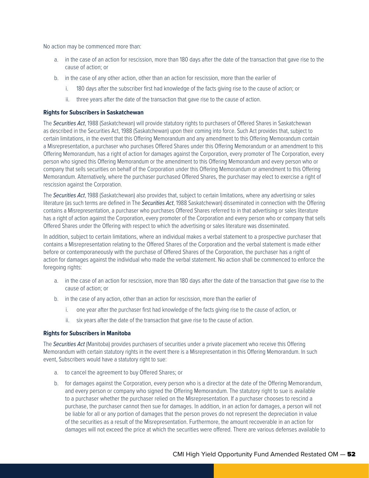No action may be commenced more than:

- a. in the case of an action for rescission, more than 180 days after the date of the transaction that gave rise to the cause of action; or
- b. in the case of any other action, other than an action for rescission, more than the earlier of
	- i. 180 days after the subscriber first had knowledge of the facts giving rise to the cause of action; or
	- ii. three years after the date of the transaction that gave rise to the cause of action.

#### **Rights for Subscribers in Saskatchewan**

The *Securities Act*, 1988 (Saskatchewan) will provide statutory rights to purchasers of Offered Shares in Saskatchewan as described in the Securities Act, 1988 (Saskatchewan) upon their coming into force. Such Act provides that, subject to certain limitations, in the event that this Offering Memorandum and any amendment to this Offering Memorandum contain a Misrepresentation, a purchaser who purchases Offered Shares under this Offering Memorandum or an amendment to this Offering Memorandum, has a right of action for damages against the Corporation, every promoter of The Corporation, every person who signed this Offering Memorandum or the amendment to this Offering Memorandum and every person who or company that sells securities on behalf of the Corporation under this Offering Memorandum or amendment to this Offering Memorandum. Alternatively, where the purchaser purchased Offered Shares, the purchaser may elect to exercise a right of rescission against the Corporation.

The *Securities Act*, 1988 (Saskatchewan) also provides that, subject to certain limitations, where any advertising or sales literature (as such terms are defined in The *Securities Act*, 1988 Saskatchewan) disseminated in connection with the Offering contains a Misrepresentation, a purchaser who purchases Offered Shares referred to in that advertising or sales literature has a right of action against the Corporation, every promoter of the Corporation and every person who or company that sells Offered Shares under the Offering with respect to which the advertising or sales literature was disseminated.

In addition, subject to certain limitations, where an individual makes a verbal statement to a prospective purchaser that contains a Misrepresentation relating to the Offered Shares of the Corporation and the verbal statement is made either before or contemporaneously with the purchase of Offered Shares of the Corporation, the purchaser has a right of action for damages against the individual who made the verbal statement. No action shall be commenced to enforce the foregoing rights:

- a. in the case of an action for rescission, more than 180 days after the date of the transaction that gave rise to the cause of action; or
- b. in the case of any action, other than an action for rescission, more than the earlier of
	- i. one year after the purchaser first had knowledge of the facts giving rise to the cause of action, or
	- ii. six years after the date of the transaction that gave rise to the cause of action.

#### **Rights for Subscribers in Manitoba**

The *Securities Act* (Manitoba) provides purchasers of securities under a private placement who receive this Offering Memorandum with certain statutory rights in the event there is a Misrepresentation in this Offering Memorandum. In such event, Subscribers would have a statutory right to sue:

- a. to cancel the agreement to buy Offered Shares; or
- b. for damages against the Corporation, every person who is a director at the date of the Offering Memorandum, and every person or company who signed the Offering Memorandum. The statutory right to sue is available to a purchaser whether the purchaser relied on the Misrepresentation. If a purchaser chooses to rescind a purchase, the purchaser cannot then sue for damages. In addition, in an action for damages, a person will not be liable for all or any portion of damages that the person proves do not represent the depreciation in value of the securities as a result of the Misrepresentation. Furthermore, the amount recoverable in an action for damages will not exceed the price at which the securities were offered. There are various defenses available to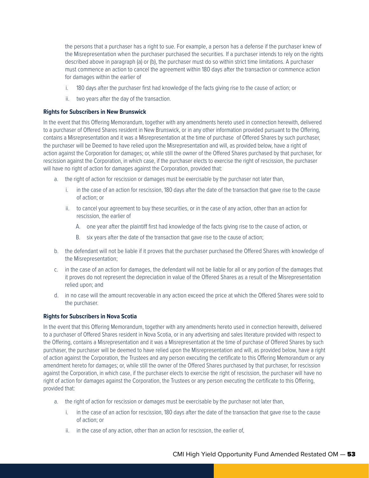the persons that a purchaser has a right to sue. For example, a person has a defense if the purchaser knew of the Misrepresentation when the purchaser purchased the securities. If a purchaser intends to rely on the rights described above in paragraph (a) or (b), the purchaser must do so within strict time limitations. A purchaser must commence an action to cancel the agreement within 180 days after the transaction or commence action for damages within the earlier of

- i. 180 days after the purchaser first had knowledge of the facts giving rise to the cause of action; or
- ii. two years after the day of the transaction.

#### **Rights for Subscribers in New Brunswick**

In the event that this Offering Memorandum, together with any amendments hereto used in connection herewith, delivered to a purchaser of Offered Shares resident in New Brunswick, or in any other information provided pursuant to the Offering, contains a Misrepresentation and it was a Misrepresentation at the time of purchase of Offered Shares by such purchaser, the purchaser will be Deemed to have relied upon the Misrepresentation and will, as provided below, have a right of action against the Corporation for damages; or, while still the owner of the Offered Shares purchased by that purchaser, for rescission against the Corporation, in which case, if the purchaser elects to exercise the right of rescission, the purchaser will have no right of action for damages against the Corporation, provided that:

- a. the right of action for rescission or damages must be exercisable by the purchaser not later than,
	- i. in the case of an action for rescission, 180 days after the date of the transaction that gave rise to the cause of action; or
	- ii. to cancel your agreement to buy these securities, or in the case of any action, other than an action for rescission, the earlier of
		- A. one year after the plaintiff first had knowledge of the facts giving rise to the cause of action, or
		- B. six years after the date of the transaction that gave rise to the cause of action;
- b. the defendant will not be liable if it proves that the purchaser purchased the Offered Shares with knowledge of the Misrepresentation;
- c. in the case of an action for damages, the defendant will not be liable for all or any portion of the damages that it proves do not represent the depreciation in value of the Offered Shares as a result of the Misrepresentation relied upon; and
- d. in no case will the amount recoverable in any action exceed the price at which the Offered Shares were sold to the purchaser.

#### **Rights for Subscribers in Nova Scotia**

In the event that this Offering Memorandum, together with any amendments hereto used in connection herewith, delivered to a purchaser of Offered Shares resident in Nova Scotia, or in any advertising and sales literature provided with respect to the Offering, contains a Misrepresentation and it was a Misrepresentation at the time of purchase of Offered Shares by such purchaser, the purchaser will be deemed to have relied upon the Misrepresentation and will, as provided below, have a right of action against the Corporation, the Trustees and any person executing the certificate to this Offering Memorandum or any amendment hereto for damages; or, while still the owner of the Offered Shares purchased by that purchaser, for rescission against the Corporation, in which case, if the purchaser elects to exercise the right of rescission, the purchaser will have no right of action for damages against the Corporation, the Trustees or any person executing the certificate to this Offering, provided that:

- a. the right of action for rescission or damages must be exercisable by the purchaser not later than,
	- i. in the case of an action for rescission, 180 days after the date of the transaction that gave rise to the cause of action; or
	- ii. in the case of any action, other than an action for rescission, the earlier of,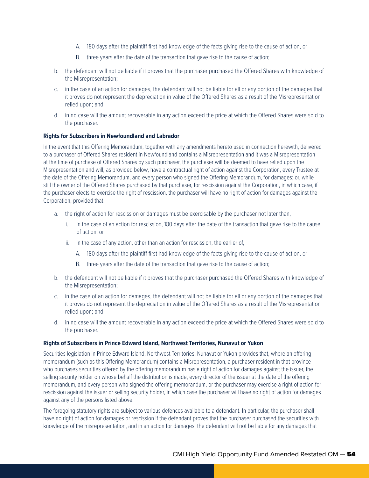- A. 180 days after the plaintiff first had knowledge of the facts giving rise to the cause of action, or
- B. three years after the date of the transaction that gave rise to the cause of action;
- b. the defendant will not be liable if it proves that the purchaser purchased the Offered Shares with knowledge of the Misrepresentation;
- c. in the case of an action for damages, the defendant will not be liable for all or any portion of the damages that it proves do not represent the depreciation in value of the Offered Shares as a result of the Misrepresentation relied upon; and
- d. in no case will the amount recoverable in any action exceed the price at which the Offered Shares were sold to the purchaser.

#### **Rights for Subscribers in Newfoundland and Labrador**

In the event that this Offering Memorandum, together with any amendments hereto used in connection herewith, delivered to a purchaser of Offered Shares resident in Newfoundland contains a Misrepresentation and it was a Misrepresentation at the time of purchase of Offered Shares by such purchaser, the purchaser will be deemed to have relied upon the Misrepresentation and will, as provided below, have a contractual right of action against the Corporation, every Trustee at the date of the Offering Memorandum, and every person who signed the Offering Memorandum, for damages; or, while still the owner of the Offered Shares purchased by that purchaser, for rescission against the Corporation, in which case, if the purchaser elects to exercise the right of rescission, the purchaser will have no right of action for damages against the Corporation, provided that:

- a. the right of action for rescission or damages must be exercisable by the purchaser not later than,
	- i. in the case of an action for rescission, 180 days after the date of the transaction that gave rise to the cause of action; or
	- ii. in the case of any action, other than an action for rescission, the earlier of,
		- A. 180 days after the plaintiff first had knowledge of the facts giving rise to the cause of action, or
		- B. three years after the date of the transaction that gave rise to the cause of action;
- b. the defendant will not be liable if it proves that the purchaser purchased the Offered Shares with knowledge of the Misrepresentation;
- c. in the case of an action for damages, the defendant will not be liable for all or any portion of the damages that it proves do not represent the depreciation in value of the Offered Shares as a result of the Misrepresentation relied upon; and
- d. in no case will the amount recoverable in any action exceed the price at which the Offered Shares were sold to the purchaser.

#### **Rights of Subscribers in Prince Edward Island, Northwest Territories, Nunavut or Yukon**

Securities legislation in Prince Edward Island, Northwest Territories, Nunavut or Yukon provides that, where an offering memorandum (such as this Offering Memorandum) contains a Misrepresentation, a purchaser resident in that province who purchases securities offered by the offering memorandum has a right of action for damages against the issuer, the selling security holder on whose behalf the distribution is made, every director of the issuer at the date of the offering memorandum, and every person who signed the offering memorandum, or the purchaser may exercise a right of action for rescission against the issuer or selling security holder, in which case the purchaser will have no right of action for damages against any of the persons listed above.

The foregoing statutory rights are subject to various defences available to a defendant. In particular, the purchaser shall have no right of action for damages or rescission if the defendant proves that the purchaser purchased the securities with knowledge of the misrepresentation, and in an action for damages, the defendant will not be liable for any damages that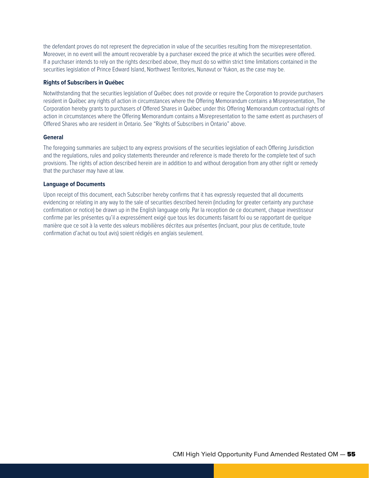the defendant proves do not represent the depreciation in value of the securities resulting from the misrepresentation. Moreover, in no event will the amount recoverable by a purchaser exceed the price at which the securities were offered. If a purchaser intends to rely on the rights described above, they must do so within strict time limitations contained in the securities legislation of Prince Edward Island, Northwest Territories, Nunavut or Yukon, as the case may be.

#### **Rights of Subscribers in Québec**

Notwithstanding that the securities legislation of Québec does not provide or require the Corporation to provide purchasers resident in Québec any rights of action in circumstances where the Offering Memorandum contains a Misrepresentation, The Corporation hereby grants to purchasers of Offered Shares in Québec under this Offering Memorandum contractual rights of action in circumstances where the Offering Memorandum contains a Misrepresentation to the same extent as purchasers of Offered Shares who are resident in Ontario. See "Rights of Subscribers in Ontario" above.

#### **General**

The foregoing summaries are subject to any express provisions of the securities legislation of each Offering Jurisdiction and the regulations, rules and policy statements thereunder and reference is made thereto for the complete text of such provisions. The rights of action described herein are in addition to and without derogation from any other right or remedy that the purchaser may have at law.

#### **Language of Documents**

Upon receipt of this document, each Subscriber hereby confirms that it has expressly requested that all documents evidencing or relating in any way to the sale of securities described herein (including for greater certainty any purchase confirmation or notice) be drawn up in the English language only. Par la reception de ce document, chaque investisseur confirme par les présentes qu'il a expressément exigé que tous les documents faisant foi ou se rapportant de quelque manière que ce soit à la vente des valeurs mobilières décrites aux présentes (incluant, pour plus de certitude, toute confirmation d'achat ou tout avis) soient rédigés en anglais seulement.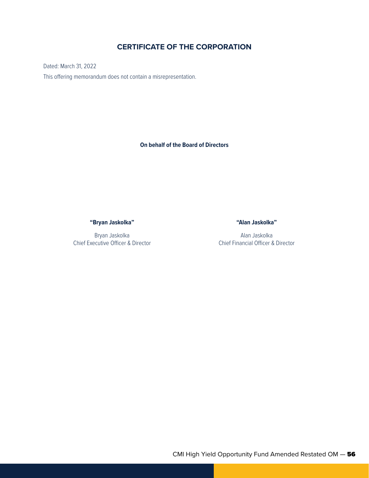## **CERTIFICATE OF THE CORPORATION**

Dated: March 31, 2022 This offering memorandum does not contain a misrepresentation.

**On behalf of the Board of Directors**

**"Bryan Jaskolka"**

Bryan Jaskolka Chief Executive Officer & Director **"Alan Jaskolka"**

Alan Jaskolka Chief Financial Officer & Director